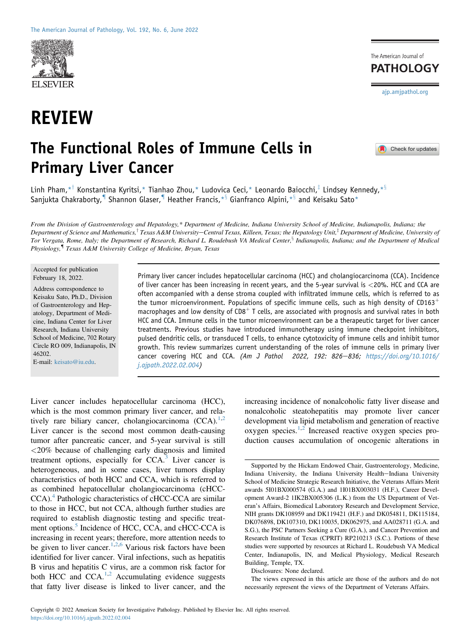

# REVIEW



# The Functional Roles of Immune Cells in Primary Liver Cancer

Check for updates

Linh Pham,  $*^{\dagger}$  Konstantina Kyritsi, \* Tianhao Zhou, \* Ludovica Ceci, \* Leonardo Baiocchi,  $*^{\dagger}$  Lindsey Kennedy,  $*^{\S}$ Sanjukta Chakraborty, <sup>1</sup> Shannon Glaser, <sup>1</sup> Heather Francis,  $*$ <sup>§</sup> Gianfranco Alpini,  $*$ § and Keisaku Sato\*

From the Division of Gastroenterology and Hepatology,\* Department of Medicine, Indiana University School of Medicine, Indianapolis, Indiana; the Department of Science and Mathematics,<sup>†</sup> Texas A&M University–Central Texas, Killeen, Texas; the Hepatology Unit,<sup>‡</sup> Department of Medicine, University of Tor Vergata, Rome, Italy; the Department of Research, Richard L. Roudebush VA Medical Center,<sup>§</sup> Indianapolis, Indiana; and the Department of Medical Physiology,{ Texas A&M University College of Medicine, Bryan, Texas

#### Accepted for publication February 18, 2022.

Address correspondence to Keisaku Sato, Ph.D., Division of Gastroenterology and Hepatology, Department of Medicine, Indiana Center for Liver Research, Indiana University School of Medicine, 702 Rotary Circle RO 009, Indianapolis, IN 46202.

E-mail: [keisato@iu.edu.](mailto:keisato@iu.edu)

Primary liver cancer includes hepatocellular carcinoma (HCC) and cholangiocarcinoma (CCA). Incidence of liver cancer has been increasing in recent years, and the 5-year survival is <20%. HCC and CCA are often accompanied with a dense stroma coupled with infiltrated immune cells, which is referred to as the tumor microenvironment. Populations of specific immune cells, such as high density of  $CD163<sup>+</sup>$ macrophages and low density of  $CD8<sup>+</sup>$  T cells, are associated with prognosis and survival rates in both HCC and CCA. Immune cells in the tumor microenvironment can be a therapeutic target for liver cancer treatments. Previous studies have introduced immunotherapy using immune checkpoint inhibitors, pulsed dendritic cells, or transduced T cells, to enhance cytotoxicity of immune cells and inhibit tumor growth. This review summarizes current understanding of the roles of immune cells in primary liver cancer covering HCC and CCA. (Am J Pathol 2022, 192: 826-836; [https://doi.org/10.1016/](https://doi.org/10.1016/j.ajpath.2022.02.004) [j.ajpath.2022.02.004\)](https://doi.org/10.1016/j.ajpath.2022.02.004)

Liver cancer includes hepatocellular carcinoma (HCC), which is the most common primary liver cancer, and relatively rare biliary cancer, cholangiocarcinoma  $(CCA)^{1,2}$  $(CCA)^{1,2}$  $(CCA)^{1,2}$  $(CCA)^{1,2}$ . Liver cancer is the second most common death-causing tumor after pancreatic cancer, and 5-year survival is still <20% because of challenging early diagnosis and limited treatment options, especially for  $CCA.^3$  $CCA.^3$  Liver cancer is heterogeneous, and in some cases, liver tumors display characteristics of both HCC and CCA, which is referred to as combined hepatocellular cholangiocarcinoma (cHCC-CCA).<sup>[4](#page-7-3)</sup> Pathologic characteristics of cHCC-CCA are similar to those in HCC, but not CCA, although further studies are required to establish diagnostic testing and specific treat-ment options.<sup>[5](#page-7-4)</sup> Incidence of HCC, CCA, and cHCC-CCA is increasing in recent years; therefore, more attention needs to be given to liver cancer.<sup>[1](#page-7-0)[,2](#page-7-1)[,6](#page-7-5)</sup> Various risk factors have been identified for liver cancer. Viral infections, such as hepatitis B virus and hepatitis C virus, are a common risk factor for both HCC and CCA. $^{1,2}$  $^{1,2}$  $^{1,2}$  $^{1,2}$  Accumulating evidence suggests that fatty liver disease is linked to liver cancer, and the

increasing incidence of nonalcoholic fatty liver disease and nonalcoholic steatohepatitis may promote liver cancer development via lipid metabolism and generation of reactive oxygen species. $1,2$  $1,2$  Increased reactive oxygen species production causes accumulation of oncogenic alterations in

Disclosures: None declared.

The views expressed in this article are those of the authors and do not necessarily represent the views of the Department of Veterans Affairs.

Supported by the Hickam Endowed Chair, Gastroenterology, Medicine, Indiana University, the Indiana University Health-Indiana University School of Medicine Strategic Research Initiative, the Veterans Affairs Merit awards 5I01BX000574 (G.A.) and 1I01BX003031 (H.F.), Career Development Award-2 1IK2BX005306 (L.K.) from the US Department of Veteran's Affairs, Biomedical Laboratory Research and Development Service, NIH grants DK108959 and DK119421 (H.F.) and DK054811, DK115184, DK076898, DK107310, DK110035, DK062975, and AA028711 (G.A. and S.G.), the PSC Partners Seeking a Cure (G.A.), and Cancer Prevention and Research Institute of Texas (CPRIT) RP210213 (S.C.). Portions of these studies were supported by resources at Richard L. Roudebush VA Medical Center, Indianapolis, IN, and Medical Physiology, Medical Research Building, Temple, TX.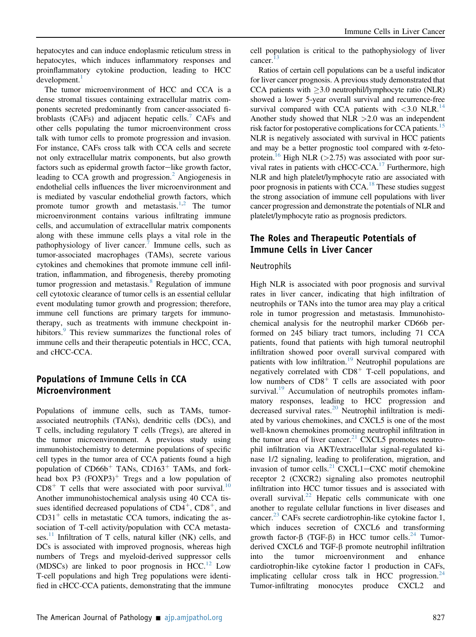hepatocytes and can induce endoplasmic reticulum stress in hepatocytes, which induces inflammatory responses and proinflammatory cytokine production, leading to HCC development.<sup>[1](#page-7-0)</sup>

The tumor microenvironment of HCC and CCA is a dense stromal tissues containing extracellular matrix components secreted predominantly from cancer-associated fi-broblasts (CAFs) and adjacent hepatic cells.<sup>[7](#page-7-6)</sup> CAFs and other cells populating the tumor microenvironment cross talk with tumor cells to promote progression and invasion. For instance, CAFs cross talk with CCA cells and secrete not only extracellular matrix components, but also growth factors such as epidermal growth factor-like growth factor, leading to CCA growth and progression.<sup>[2](#page-7-1)</sup> Angiogenesis in endothelial cells influences the liver microenvironment and is mediated by vascular endothelial growth factors, which promote tumor growth and metastasis.<sup>1,[2](#page-7-1)</sup> The tumor microenvironment contains various infiltrating immune cells, and accumulation of extracellular matrix components along with these immune cells plays a vital role in the pathophysiology of liver cancer.<sup>[7](#page-7-6)</sup> Immune cells, such as tumor-associated macrophages (TAMs), secrete various cytokines and chemokines that promote immune cell infiltration, inflammation, and fibrogenesis, thereby promoting tumor progression and metastasis. $8 \text{ Regulation of immune}$  $8 \text{ Regulation of immune}$ cell cytotoxic clearance of tumor cells is an essential cellular event modulating tumor growth and progression; therefore, immune cell functions are primary targets for immunotherapy, such as treatments with immune checkpoint in-hibitors.<sup>[9](#page-8-1)</sup> This review summarizes the functional roles of immune cells and their therapeutic potentials in HCC, CCA, and cHCC-CCA.

# Populations of Immune Cells in CCA Microenvironment

Populations of immune cells, such as TAMs, tumorassociated neutrophils (TANs), dendritic cells (DCs), and T cells, including regulatory T cells (Tregs), are altered in the tumor microenvironment. A previous study using immunohistochemistry to determine populations of specific cell types in the tumor area of CCA patients found a high population of  $CD66b<sup>+</sup>$  TANs,  $CD163<sup>+</sup>$  TAMs, and forkhead box P3  $(FOXP3)^+$  Tregs and a low population of  $CD8<sup>+</sup>$  T cells that were associated with poor survival.<sup>[10](#page-8-2)</sup> Another immunohistochemical analysis using 40 CCA tissues identified decreased populations of  $CD4^+$ ,  $CD8^+$ , and  $CD31<sup>+</sup>$  cells in metastatic CCA tumors, indicating the association of T-cell activity/population with CCA metasta-ses.<sup>[11](#page-8-3)</sup> Infiltration of T cells, natural killer (NK) cells, and DCs is associated with improved prognosis, whereas high numbers of Tregs and myeloid-derived suppressor cells (MDSCs) are linked to poor prognosis in  $\text{HCC}$ .<sup>[12](#page-8-4)</sup> Low T-cell populations and high Treg populations were identified in cHCC-CCA patients, demonstrating that the immune cell population is critical to the pathophysiology of liver cancer. $13$ 

Ratios of certain cell populations can be a useful indicator for liver cancer prognosis. A previous study demonstrated that CCA patients with  $\geq$ 3.0 neutrophil/lymphocyte ratio (NLR) showed a lower 5-year overall survival and recurrence-free survival compared with CCA patients with  $\langle 3.0 \text{ NLR.}^{14} \rangle$  $\langle 3.0 \text{ NLR.}^{14} \rangle$  $\langle 3.0 \text{ NLR.}^{14} \rangle$ Another study showed that  $NLR > 2.0$  was an independent risk factor for postoperative complications for CCA patients.<sup>[15](#page-8-7)</sup> NLR is negatively associated with survival in HCC patients and may be a better prognostic tool compared with  $\alpha$ -feto-protein.<sup>[16](#page-8-8)</sup> High NLR (>2.75) was associated with poor survival rates in patients with cHCC-CCA[.17](#page-8-9) Furthermore, high NLR and high platelet/lymphocyte ratio are associated with poor prognosis in patients with CCA[.18](#page-8-10) These studies suggest the strong association of immune cell populations with liver cancer progression and demonstrate the potentials of NLR and platelet/lymphocyte ratio as prognosis predictors.

# The Roles and Therapeutic Potentials of Immune Cells in Liver Cancer

#### Neutrophils

High NLR is associated with poor prognosis and survival rates in liver cancer, indicating that high infiltration of neutrophils or TANs into the tumor area may play a critical role in tumor progression and metastasis. Immunohistochemical analysis for the neutrophil marker CD66b performed on 245 biliary tract tumors, including 71 CCA patients, found that patients with high tumoral neutrophil infiltration showed poor overall survival compared with patients with low infiltration.<sup>[19](#page-8-11)</sup> Neutrophil populations are negatively correlated with  $CD8<sup>+</sup>$  T-cell populations, and low numbers of  $CD8<sup>+</sup>$  T cells are associated with poor survival.<sup>19</sup> Accumulation of neutrophils promotes inflammatory responses, leading to HCC progression and decreased survival rates.<sup>[20](#page-8-12)</sup> Neutrophil infiltration is mediated by various chemokines, and CXCL5 is one of the most well-known chemokines promoting neutrophil infiltration in the tumor area of liver cancer.<sup>[21](#page-8-13)</sup> CXCL5 promotes neutrophil infiltration via AKT/extracellular signal-regulated kinase 1/2 signaling, leading to proliferation, migration, and invasion of tumor cells. $^{21}$  CXCL1–CXC motif chemokine receptor 2 (CXCR2) signaling also promotes neutrophil infiltration into HCC tumor tissues and is associated with overall survival. $^{22}$  $^{22}$  $^{22}$  Hepatic cells communicate with one another to regulate cellular functions in liver diseases and cancer. $^{23}$  $^{23}$  $^{23}$  CAFs secrete cardiotrophin-like cytokine factor 1, which induces secretion of CXCL6 and transforming growth factor- $\beta$  (TGF- $\beta$ ) in HCC tumor cells.<sup>[24](#page-8-16)</sup> Tumorderived CXCL6 and TGF- $\beta$  promote neutrophil infiltration<br>into the tumor microenvironment and enhance microenvironment cardiotrophin-like cytokine factor 1 production in CAFs, implicating cellular cross talk in HCC progression.<sup>[24](#page-8-16)</sup> Tumor-infiltrating monocytes produce CXCL2 and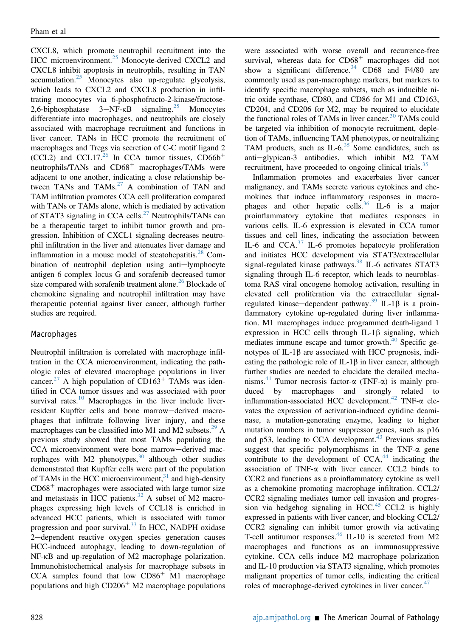CXCL8, which promote neutrophil recruitment into the HCC microenvironment.<sup>[25](#page-8-17)</sup> Monocyte-derived CXCL2 and CXCL8 inhibit apoptosis in neutrophils, resulting in TAN accumulation.[25](#page-8-17) Monocytes also up-regulate glycolysis, which leads to CXCL2 and CXCL8 production in infiltrating monocytes via 6-phosphofructo-2-kinase/fructose-2,6-biphosphatase  $3-NF-\kappa B$  signaling.<sup>[25](#page-8-17)</sup> Monocytes differentiate into macrophages, and neutrophils are closely associated with macrophage recruitment and functions in liver cancer. TANs in HCC promote the recruitment of macrophages and Tregs via secretion of C-C motif ligand 2 (CCL2) and CCL17.<sup>[26](#page-8-18)</sup> In CCA tumor tissues,  $CD66b<sup>+</sup>$ neutrophils/TANs and  $CD68<sup>+</sup>$  macrophages/TAMs were adjacent to one another, indicating a close relationship be-tween TANs and TAMs.<sup>[27](#page-8-19)</sup> A combination of TAN and TAM infiltration promotes CCA cell proliferation compared with TANs or TAMs alone, which is mediated by activation of STAT3 signaling in CCA cells. $^{27}$  $^{27}$  $^{27}$  Neutrophils/TANs can be a therapeutic target to inhibit tumor growth and progression. Inhibition of CXCL1 signaling decreases neutrophil infiltration in the liver and attenuates liver damage and inflammation in a mouse model of steatohepatitis.<sup>[28](#page-8-20)</sup> Combination of neutrophil depletion using anti-lymphocyte antigen 6 complex locus G and sorafenib decreased tumor size compared with sorafenib treatment alone.<sup>[26](#page-8-18)</sup> Blockade of chemokine signaling and neutrophil infiltration may have therapeutic potential against liver cancer, although further studies are required.

## Macrophages

Neutrophil infiltration is correlated with macrophage infiltration in the CCA microenvironment, indicating the pathologic roles of elevated macrophage populations in liver cancer.<sup>[27](#page-8-19)</sup> A high population of  $CD163<sup>+</sup>$  TAMs was identified in CCA tumor tissues and was associated with poor survival rates. $10$  Macrophages in the liver include liverresident Kupffer cells and bone marrow-derived macrophages that infiltrate following liver injury, and these macrophages can be classified into M1 and M2 subsets.<sup>[29](#page-8-21)</sup> A previous study showed that most TAMs populating the CCA microenvironment were bone marrow-derived mac-rophages with M2 phenotypes,<sup>[30](#page-8-22)</sup> although other studies demonstrated that Kupffer cells were part of the population of TAMs in the HCC microenvironment, $31$  and high-density  $CD68<sup>+</sup>$  macrophages were associated with large tumor size and metastasis in HCC patients. $32$  A subset of M2 macrophages expressing high levels of CCL18 is enriched in advanced HCC patients, which is associated with tumor progression and poor survival.<sup>[33](#page-8-25)</sup> In HCC, NADPH oxidase 2-dependent reactive oxygen species generation causes HCC-induced autophagy, leading to down-regulation of NF-kB and up-regulation of M2 macrophage polarization. Immunohistochemical analysis for macrophage subsets in  $CCA$  samples found that low  $CD86<sup>+</sup>$  M1 macrophage populations and high  $CD206<sup>+</sup> M2$  macrophage populations

were associated with worse overall and recurrence-free survival, whereas data for  $CD68<sup>+</sup>$  macrophages did not show a significant difference. $34$  CD68 and F4/80 are commonly used as pan-macrophage markers, but markers to identify specific macrophage subsets, such as inducible nitric oxide synthase, CD80, and CD86 for M1 and CD163, CD204, and CD206 for M2, may be required to elucidate the functional roles of TAMs in liver cancer. $30$  TAMs could be targeted via inhibition of monocyte recruitment, depletion of TAMs, influencing TAM phenotypes, or neutralizing TAM products, such as  $IL-6.^{35}$  $IL-6.^{35}$  $IL-6.^{35}$  Some candidates, such as anti-glypican-3 antibodies, which inhibit M2 TAM recruitment, have proceeded to ongoing clinical trials.<sup>[35](#page-8-27)</sup>

Inflammation promotes and exacerbates liver cancer malignancy, and TAMs secrete various cytokines and chemokines that induce inflammatory responses in macro-phages and other hepatic cells.<sup>[36](#page-8-28)</sup> IL-6 is a major proinflammatory cytokine that mediates responses in various cells. IL-6 expression is elevated in CCA tumor tissues and cell lines, indicating the association between IL-6 and CCA.[37](#page-8-29) IL-6 promotes hepatocyte proliferation and initiates HCC development via STAT3/extracellular signal-regulated kinase pathways. $38$  IL-6 activates STAT3 signaling through IL-6 receptor, which leads to neuroblastoma RAS viral oncogene homolog activation, resulting in elevated cell proliferation via the extracellular signal-regulated kinase—dependent pathway.<sup>[39](#page-8-31)</sup> IL-1 $\beta$  is a proinflammatory cytokine up-regulated during liver inflammation. M1 macrophages induce programmed death-ligand 1 expression in HCC cells through IL-1 $\beta$  signaling, which mediates immune escape and tumor growth.<sup>[40](#page-8-32)</sup> Specific genotypes of  $IL-1\beta$  are associated with HCC prognosis, indicating the pathologic role of  $IL-1\beta$  in liver cancer, although further studies are needed to elucidate the detailed mecha-nisms.<sup>[41](#page-8-33)</sup> Tumor necrosis factor- $\alpha$  (TNF- $\alpha$ ) is mainly produced by macrophages and strongly related to inflammation-associated HCC development.<sup>[42](#page-8-34)</sup> TNF- $\alpha$  elevates the expression of activation-induced cytidine deaminase, a mutation-generating enzyme, leading to higher mutation numbers in tumor suppressor genes, such as p16 and p53, leading to CCA development. $43$  Previous studies suggest that specific polymorphisms in the TNF- $\alpha$  gene contribute to the development of  $CCA<sub>1</sub><sup>44</sup>$  $CCA<sub>1</sub><sup>44</sup>$  $CCA<sub>1</sub><sup>44</sup>$  indicating the association of TNF- $\alpha$  with liver cancer. CCL2 binds to CCR2 and functions as a proinflammatory cytokine as well as a chemokine promoting macrophage infiltration. CCL2/ CCR2 signaling mediates tumor cell invasion and progres-sion via hedgehog signaling in HCC.<sup>[45](#page-9-2)</sup> CCL2 is highly expressed in patients with liver cancer, and blocking CCL2/ CCR2 signaling can inhibit tumor growth via activating T-cell antitumor responses. $^{46}$  $^{46}$  $^{46}$  IL-10 is secreted from M2 macrophages and functions as an immunosuppressive cytokine. CCA cells induce M2 macrophage polarization and IL-10 production via STAT3 signaling, which promotes malignant properties of tumor cells, indicating the critical roles of macrophage-derived cytokines in liver cancer. $47$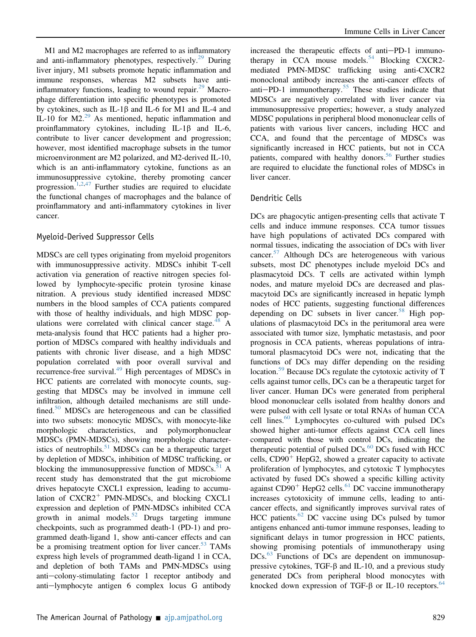M1 and M2 macrophages are referred to as inflammatory and anti-inflammatory phenotypes, respectively.<sup>29</sup> During liver injury, M1 subsets promote hepatic inflammation and immune responses, whereas M2 subsets have antiinflammatory functions, leading to wound repair. $29$  Macrophage differentiation into specific phenotypes is promoted by cytokines, such as  $IL-1\beta$  and  $IL-6$  for M1 and IL-4 and IL-10 for M2. $^{29}$  $^{29}$  $^{29}$  As mentioned, hepatic inflammation and proinflammatory cytokines, including  $IL-1\beta$  and  $IL-6$ , contribute to liver cancer development and progression; however, most identified macrophage subsets in the tumor microenvironment are M2 polarized, and M2-derived IL-10, which is an anti-inflammatory cytokine, functions as an immunosuppressive cytokine, thereby promoting cancer progression.<sup>[1](#page-7-0)[,2,](#page-7-1)[47](#page-9-4)</sup> Further studies are required to elucidate the functional changes of macrophages and the balance of proinflammatory and anti-inflammatory cytokines in liver cancer.

#### Myeloid-Derived Suppressor Cells

MDSCs are cell types originating from myeloid progenitors with immunosuppressive activity. MDSCs inhibit T-cell activation via generation of reactive nitrogen species followed by lymphocyte-specific protein tyrosine kinase nitration. A previous study identified increased MDSC numbers in the blood samples of CCA patients compared with those of healthy individuals, and high MDSC pop-ulations were correlated with clinical cancer stage.<sup>[48](#page-9-5)</sup> A meta-analysis found that HCC patients had a higher proportion of MDSCs compared with healthy individuals and patients with chronic liver disease, and a high MDSC population correlated with poor overall survival and recurrence-free survival.<sup>[49](#page-9-6)</sup> High percentages of MDSCs in HCC patients are correlated with monocyte counts, suggesting that MDSCs may be involved in immune cell infiltration, although detailed mechanisms are still unde-fined.<sup>[50](#page-9-7)</sup> MDSCs are heterogeneous and can be classified into two subsets: monocytic MDSCs, with monocyte-like morphologic characteristics, and polymorphonuclear MDSCs (PMN-MDSCs), showing morphologic character-istics of neutrophils.<sup>[51](#page-9-8)</sup> MDSCs can be a therapeutic target by depletion of MDSCs, inhibition of MDSC trafficking, or blocking the immunosuppressive function of MDSCs. $51$  A recent study has demonstrated that the gut microbiome drives hepatocyte CXCL1 expression, leading to accumulation of  $CXCR2^+$  PMN-MDSCs, and blocking CXCL1 expression and depletion of PMN-MDSCs inhibited CCA growth in animal models. $52$  Drugs targeting immune checkpoints, such as programmed death-1 (PD-1) and programmed death-ligand 1, show anti-cancer effects and can be a promising treatment option for liver cancer.<sup>[53](#page-9-10)</sup> TAMs express high levels of programmed death-ligand 1 in CCA, and depletion of both TAMs and PMN-MDSCs using  $anti$ -colony-stimulating factor 1 receptor antibody and  $anti-lymphocyte$  antigen 6 complex locus G antibody

increased the therapeutic effects of anti-PD-1 immuno-therapy in CCA mouse models.<sup>[54](#page-9-11)</sup> Blocking CXCR2mediated PMN-MDSC trafficking using anti-CXCR2 monoclonal antibody increases the anti-cancer effects of anti-PD-1 immunotherapy.<sup>[55](#page-9-12)</sup> These studies indicate that MDSCs are negatively correlated with liver cancer via immunosuppressive properties; however, a study analyzed MDSC populations in peripheral blood mononuclear cells of patients with various liver cancers, including HCC and CCA, and found that the percentage of MDSCs was significantly increased in HCC patients, but not in CCA patients, compared with healthy donors.<sup>[56](#page-9-13)</sup> Further studies are required to elucidate the functional roles of MDSCs in liver cancer.

#### Dendritic Cells

DCs are phagocytic antigen-presenting cells that activate T cells and induce immune responses. CCA tumor tissues have high populations of activated DCs compared with normal tissues, indicating the association of DCs with liver cancer.<sup>[57](#page-9-14)</sup> Although DCs are heterogeneous with various subsets, most DC phenotypes include myeloid DCs and plasmacytoid DCs. T cells are activated within lymph nodes, and mature myeloid DCs are decreased and plasmacytoid DCs are significantly increased in hepatic lymph nodes of HCC patients, suggesting functional differences depending on DC subsets in liver cancer.<sup>[58](#page-9-15)</sup> High populations of plasmacytoid DCs in the peritumoral area were associated with tumor size, lymphatic metastasis, and poor prognosis in CCA patients, whereas populations of intratumoral plasmacytoid DCs were not, indicating that the functions of DCs may differ depending on the residing location.<sup>59</sup> Because DCs regulate the cytotoxic activity of T cells against tumor cells, DCs can be a therapeutic target for liver cancer. Human DCs were generated from peripheral blood mononuclear cells isolated from healthy donors and were pulsed with cell lysate or total RNAs of human CCA cell lines. $60$  Lymphocytes co-cultured with pulsed DCs showed higher anti-tumor effects against CCA cell lines compared with those with control DCs, indicating the therapeutic potential of pulsed  $DCs$ .<sup>[60](#page-9-17)</sup> DCs fused with HCC cells,  $CD90<sup>+</sup>$  HepG2, showed a greater capacity to activate proliferation of lymphocytes, and cytotoxic T lymphocytes activated by fused DCs showed a specific killing activity against  $CD90<sup>+</sup>$  HepG2 cells.<sup>[61](#page-9-18)</sup> DC vaccine immunotherapy increases cytotoxicity of immune cells, leading to anticancer effects, and significantly improves survival rates of HCC patients. $62$  DC vaccine using DCs pulsed by tumor antigens enhanced anti-tumor immune responses, leading to significant delays in tumor progression in HCC patients, showing promising potentials of immunotherapy using DCs.<sup>[63](#page-9-20)</sup> Functions of DCs are dependent on immunosuppressive cytokines,  $TGF-\beta$  and IL-10, and a previous study generated DCs from peripheral blood monocytes with knocked down expression of TGF- $\beta$  or IL-10 receptors.<sup>64</sup>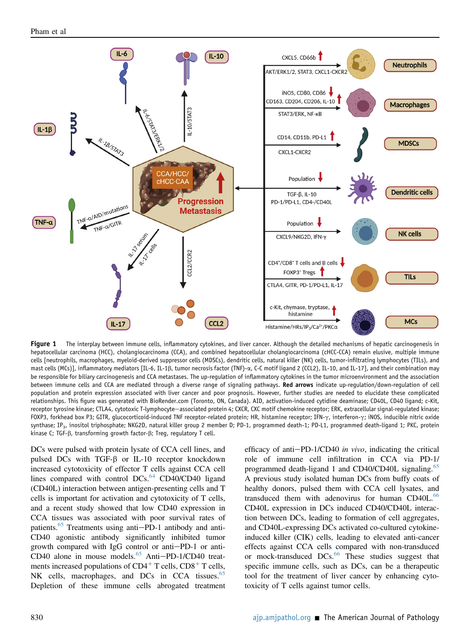<span id="page-4-0"></span>

Figure 1 The interplay between immune cells, inflammatory cytokines, and liver cancer. Although the detailed mechanisms of hepatic carcinogenesis in hepatocellular carcinoma (HCC), cholangiocarcinoma (CCA), and combined hepatocellular cholangiocarcinoma (cHCC-CCA) remain elusive, multiple immune cells [neutrophils, macrophages, myeloid-derived suppressor cells (MDSCs), dendritic cells, natural killer (NK) cells, tumor-infiltrating lymphocytes (TILs), and mast cells (MCs)], inflammatory mediators [IL-6, IL-1β, tumor necrosis factor (TNF)- $\alpha$ , C-C motif ligand 2 (CCL2), IL-10, and IL-17], and their combination may be responsible for biliary carcinogenesis and CCA metastases. The up-regulation of inflammatory cytokines in the tumor microenvironment and the association between immune cells and CCA are mediated through a diverse range of signaling pathways. Red arrows indicate up-regulation/down-regulation of cell population and protein expression associated with liver cancer and poor prognosis. However, further studies are needed to elucidate these complicated relationships. This figure was generated with BioRender.com (Toronto, ON, Canada). AID, activation-induced cytidine deaminase; CD40L, CD40 ligand; c-Kit, receptor tyrosine kinase; CTLA4, cytotoxic T-lymphocyte—associated protein 4; CXCR, CXC motif chemokine receptor; ERK, extracellular signal-regulated kinase; FOXP3, forkhead box P3; GITR, glucocorticoid-induced TNF receptor-related protein; HR, histamine receptor; IFN- $\gamma$ , interferon- $\gamma$ ; iNOS, inducible nitric oxide synthase; IP<sub>3</sub>, inositol triphosphate; NKG2D, natural killer group 2 member D; PD-1, programmed death-1; PD-L1, programmed death-ligand 1; PKC, protein kinase C; TGF- $\beta$ , transforming growth factor- $\beta$ ; Treg, regulatory T cell.

DCs were pulsed with protein lysate of CCA cell lines, and pulsed DCs with TGF- $\beta$  or IL-10 receptor knockdown increased cytotoxicity of effector T cells against CCA cell lines compared with control  $DCs$ .<sup>[64](#page-9-21)</sup>  $CD40/CD40$  ligand (CD40L) interaction between antigen-presenting cells and T cells is important for activation and cytotoxicity of T cells, and a recent study showed that low CD40 expression in CCA tissues was associated with poor survival rates of patients. $65$  Treatments using anti-PD-1 antibody and anti-CD40 agonistic antibody significantly inhibited tumor growth compared with IgG control or anti-PD-1 or anti-CD40 alone in mouse models. $65$  Anti-PD-1/CD40 treatments increased populations of  $CD4^+$  T cells,  $CD8^+$  T cells, NK cells, macrophages, and DCs in CCA tissues. $65$ Depletion of these immune cells abrogated treatment efficacy of anti $-PD-1/CD40$  in vivo, indicating the critical role of immune cell infiltration in CCA via PD-1/ programmed death-ligand 1 and CD40/CD40L signaling.<sup>[65](#page-9-22)</sup> A previous study isolated human DCs from buffy coats of healthy donors, pulsed them with CCA cell lysates, and transduced them with adenovirus for human CD40L.<sup>[66](#page-9-23)</sup> CD40L expression in DCs induced CD40/CD40L interaction between DCs, leading to formation of cell aggregates, and CD40L-expressing DCs activated co-cultured cytokineinduced killer (CIK) cells, leading to elevated anti-cancer effects against CCA cells compared with non-transduced or mock-transduced DCs.<sup>[66](#page-9-23)</sup> These studies suggest that specific immune cells, such as DCs, can be a therapeutic tool for the treatment of liver cancer by enhancing cytotoxicity of T cells against tumor cells.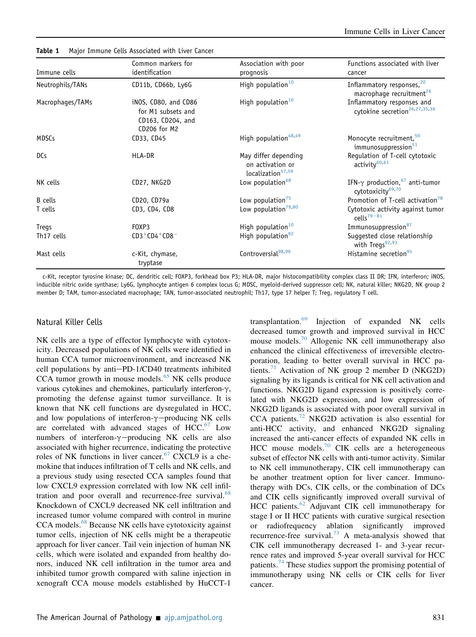| Immune cells     | Common markers for<br>identification                                            | Association with poor<br>prognosis                                        | Functions associated with liver<br>cancer                                     |
|------------------|---------------------------------------------------------------------------------|---------------------------------------------------------------------------|-------------------------------------------------------------------------------|
| Neutrophils/TANs | CD11b, CD66b, Ly6G                                                              | High population $10$                                                      | Inflammatory responses, <sup>20</sup><br>macrophage recruitment <sup>26</sup> |
| Macrophages/TAMs | iNOS, CD80, and CD86<br>for M1 subsets and<br>CD163, CD204, and<br>CD206 for M2 | High population $10$                                                      | Inflammatory responses and<br>cytokine secretion <sup>26,27,35,36</sup>       |
| MDSCs            | CD33, CD45                                                                      | High population <sup>48,49</sup>                                          | Monocyte recruitment, <sup>50</sup><br>immunosuppression <sup>51</sup>        |
| <b>DCs</b>       | HLA-DR                                                                          | May differ depending<br>on activation or<br>localization <sup>57,59</sup> | Regulation of T-cell cytotoxic<br>activity <sup>60,61</sup>                   |
| NK cells         | CD27, NKG2D                                                                     | Low population <sup>68</sup>                                              | IFN- $\gamma$ production, $67$ anti-tumor<br>cytotoxicity <sup>69,70</sup>    |
| <b>B</b> cells   | CD20, CD79a                                                                     | Low population <sup>75</sup>                                              | Promotion of T-cell activation <sup>78</sup>                                  |
| T cells          | CD3, CD4, CD8                                                                   | Low population <sup>79,80</sup>                                           | Cytotoxic activity against tumor<br>cells $79 - 81$                           |
| Tregs            | FOXP3                                                                           | High population <sup>10</sup>                                             | Immunosuppression <sup>87</sup>                                               |
| Th17 cells       | $CD3+CD4+CD8$                                                                   | High population <sup>92</sup>                                             | Suggested close relationship<br>with Tregs <sup>92,93</sup>                   |
| Mast cells       | c-Kit, chymase,<br>tryptase                                                     | Controversial <sup>98,99</sup>                                            | Histamine secretion <sup>95</sup>                                             |

<span id="page-5-0"></span>Table 1 Major Immune Cells Associated with Liver Cancer

c-Kit, receptor tyrosine kinase; DC, dendritic cell; FOXP3, forkhead box P3; HLA-DR, major histocompatibility complex class II DR; IFN, interferon; iNOS, inducible nitric oxide synthase; Ly6G, lymphocyte antigen 6 complex locus G; MDSC, myeloid-derived suppressor cell; NK, natural killer; NKG2D, NK group 2 member D; TAM, tumor-associated macrophage; TAN, tumor-associated neutrophil; Th17, type 17 helper T; Treg, regulatory T cell.

#### Natural Killer Cells

NK cells are a type of effector lymphocyte with cytotoxicity. Decreased populations of NK cells were identified in human CCA tumor microenvironment, and increased NK cell populations by anti-PD-1/CD40 treatments inhibited CCA tumor growth in mouse models. $65$  NK cells produce various cytokines and chemokines, particularly interferon- $\gamma$ , promoting the defense against tumor surveillance. It is known that NK cell functions are dysregulated in HCC, and low populations of interferon- $\gamma$ -producing NK cells are correlated with advanced stages of HCC.<sup>[67](#page-9-24)</sup> Low numbers of interferon- $\gamma$ -producing NK cells are also associated with higher recurrence, indicating the protective roles of NK functions in liver cancer.<sup>[67](#page-9-24)</sup> CXCL9 is a chemokine that induces infiltration of T cells and NK cells, and a previous study using resected CCA samples found that low CXCL9 expression correlated with low NK cell infil-tration and poor overall and recurrence-free survival.<sup>[68](#page-9-25)</sup> Knockdown of CXCL9 decreased NK cell infiltration and increased tumor volume compared with control in murine CCA models.<sup>[68](#page-9-25)</sup> Because NK cells have cytotoxicity against tumor cells, injection of NK cells might be a therapeutic approach for liver cancer. Tail vein injection of human NK cells, which were isolated and expanded from healthy donors, induced NK cell infiltration in the tumor area and inhibited tumor growth compared with saline injection in xenograft CCA mouse models established by HuCCT-1

transplantation.<sup>[69](#page-9-26)</sup> Injection of expanded NK cells decreased tumor growth and improved survival in HCC mouse models.<sup>[70](#page-9-27)</sup> Allogenic NK cell immunotherapy also enhanced the clinical effectiveness of irreversible electroporation, leading to better overall survival in HCC pa-tients.<sup>[71](#page-9-28)</sup> Activation of NK group 2 member D (NKG2D) signaling by its ligands is critical for NK cell activation and functions. NKG2D ligand expression is positively correlated with NKG2D expression, and low expression of NKG2D ligands is associated with poor overall survival in CCA patients.<sup>[72](#page-9-29)</sup> NKG2D activation is also essential for anti-HCC activity, and enhanced NKG2D signaling increased the anti-cancer effects of expanded NK cells in HCC mouse models.<sup>[70](#page-9-27)</sup> CIK cells are a heterogeneous subset of effector NK cells with anti-tumor activity. Similar to NK cell immunotherapy, CIK cell immunotherapy can be another treatment option for liver cancer. Immunotherapy with DCs, CIK cells, or the combination of DCs and CIK cells significantly improved overall survival of HCC patients.<sup>[62](#page-9-19)</sup> Adjuvant CIK cell immunotherapy for stage I or II HCC patients with curative surgical resection or radiofrequency ablation significantly improved recurrence-free survival.<sup>[73](#page-9-30)</sup> A meta-analysis showed that CIK cell immunotherapy decreased 1- and 3-year recurrence rates and improved 5-year overall survival for HCC patients.<sup>[74](#page-10-0)</sup> These studies support the promising potential of immunotherapy using NK cells or CIK cells for liver cancer.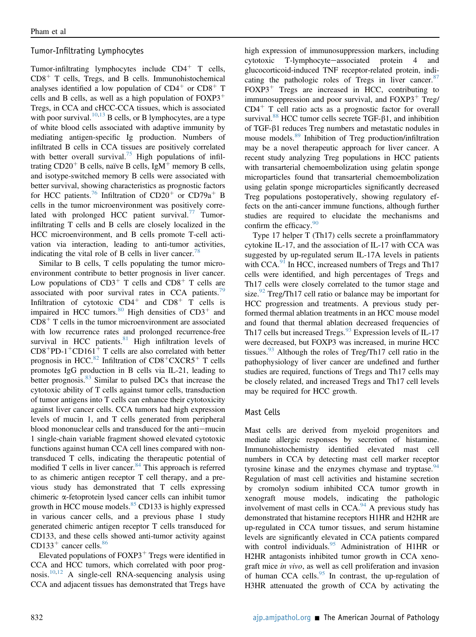# Tumor-Infiltrating Lymphocytes

Tumor-infiltrating lymphocytes include  $CD4^+$  T cells,  $CD8<sup>+</sup>$  T cells, Tregs, and B cells. Immunohistochemical analyses identified a low population of  $CD4<sup>+</sup>$  or  $CD8<sup>+</sup>$  T cells and B cells, as well as a high population of  $FOXP3<sup>+</sup>$ Tregs, in CCA and cHCC-CCA tissues, which is associated with poor survival.<sup>[10](#page-8-2)[,13](#page-8-5)</sup> B cells, or B lymphocytes, are a type of white blood cells associated with adaptive immunity by mediating antigen-specific Ig production. Numbers of infiltrated B cells in CCA tissues are positively correlated with better overall survival.<sup>[75](#page-10-1)</sup> High populations of infiltrating  $CD20<sup>+</sup>$  B cells, naïve B cells, IgM<sup>+</sup> memory B cells, and isotype-switched memory B cells were associated with better survival, showing characteristics as prognostic factors for HCC patients.<sup>[76](#page-10-11)</sup> Infiltration of CD20<sup>+</sup> or CD79a<sup>+</sup> B cells in the tumor microenvironment was positively correlated with prolonged HCC patient survival. $77$  Tumorinfiltrating T cells and B cells are closely localized in the HCC microenvironment, and B cells promote T-cell activation via interaction, leading to anti-tumor activities, indicating the vital role of B cells in liver cancer.<sup>[78](#page-10-2)</sup>

Similar to B cells, T cells populating the tumor microenvironment contribute to better prognosis in liver cancer. Low populations of  $CD3^+$  T cells and  $CD8^+$  T cells are associated with poor survival rates in CCA patients.<sup>[79](#page-10-3)</sup> Infiltration of cytotoxic  $CD4^+$  and  $CD8^+$  T cells is impaired in HCC tumors. $80$  High densities of CD3<sup>+</sup> and  $CD8<sup>+</sup>$  T cells in the tumor microenvironment are associated with low recurrence rates and prolonged recurrence-free survival in HCC patients. $81$  High infiltration levels of  $CD8<sup>+</sup>PD-1<sup>+</sup>CD161<sup>+</sup>$  T cells are also correlated with better prognosis in HCC. $82$  Infiltration of CD8<sup>+</sup>CXCR5<sup>+</sup> T cells promotes IgG production in B cells via IL-21, leading to better prognosis.<sup>[83](#page-10-15)</sup> Similar to pulsed DCs that increase the cytotoxic ability of T cells against tumor cells, transduction of tumor antigens into T cells can enhance their cytotoxicity against liver cancer cells. CCA tumors had high expression levels of mucin 1, and T cells generated from peripheral blood mononuclear cells and transduced for the anti-mucin 1 single-chain variable fragment showed elevated cytotoxic functions against human CCA cell lines compared with nontransduced T cells, indicating the therapeutic potential of modified  $T$  cells in liver cancer.  $84$  This approach is referred to as chimeric antigen receptor T cell therapy, and a previous study has demonstrated that T cells expressing chimeric a-fetoprotein lysed cancer cells can inhibit tumor growth in HCC mouse models. $85$  CD133 is highly expressed in various cancer cells, and a previous phase 1 study generated chimeric antigen receptor T cells transduced for CD133, and these cells showed anti-tumor activity against CD133<sup>+</sup> cancer cells. $86$ 

Elevated populations of  $FOXP3<sup>+</sup> Tregs$  were identified in CCA and HCC tumors, which correlated with poor prog-nosis.<sup>[10](#page-8-2)[,12](#page-8-4)</sup> A single-cell RNA-sequencing analysis using CCA and adjacent tissues has demonstrated that Tregs have high expression of immunosuppression markers, including cytotoxic T-lymphocyte-associated protein 4 and glucocorticoid-induced TNF receptor-related protein, indi-cating the pathologic roles of Tregs in liver cancer.<sup>[87](#page-10-5)</sup>  $FOXP3<sup>+</sup>$  Tregs are increased in HCC, contributing to immunosuppression and poor survival, and  $FOXP3^+$  Treg/  $CD4<sup>+</sup>$  T cell ratio acts as a prognostic factor for overall survival.<sup>[88](#page-10-19)</sup> HCC tumor cells secrete TGF- $\beta$ 1, and inhibition of TGF-b1 reduces Treg numbers and metastatic nodules in mouse models.[89](#page-10-20) Inhibition of Treg production/infiltration may be a novel therapeutic approach for liver cancer. A recent study analyzing Treg populations in HCC patients with transarterial chemoembolization using gelatin sponge microparticles found that transarterial chemoembolization using gelatin sponge microparticles significantly decreased Treg populations postoperatively, showing regulatory effects on the anti-cancer immune functions, although further studies are required to elucidate the mechanisms and confirm the efficacy. $\frac{90}{90}$  $\frac{90}{90}$  $\frac{90}{90}$ 

Type 17 helper T (Th17) cells secrete a proinflammatory cytokine IL-17, and the association of IL-17 with CCA was suggested by up-regulated serum IL-17A levels in patients with CCA. $91$  In HCC, increased numbers of Tregs and Th17 cells were identified, and high percentages of Tregs and Th17 cells were closely correlated to the tumor stage and size. $92$  Treg/Th17 cell ratio or balance may be important for HCC progression and treatments. A previous study performed thermal ablation treatments in an HCC mouse model and found that thermal ablation decreased frequencies of Th17 cells but increased Tregs. $^{93}$  $^{93}$  $^{93}$  Expression levels of IL-17 were decreased, but FOXP3 was increased, in murine HCC tissues.  $93$  Although the roles of Treg/Th17 cell ratio in the pathophysiology of liver cancer are undefined and further studies are required, functions of Tregs and Th17 cells may be closely related, and increased Tregs and Th17 cell levels may be required for HCC growth.

#### Mast Cells

Mast cells are derived from myeloid progenitors and mediate allergic responses by secretion of histamine. Immunohistochemistry identified elevated mast cell numbers in CCA by detecting mast cell marker receptor tyrosine kinase and the enzymes chymase and tryptase.<sup>[94](#page-10-23)</sup> Regulation of mast cell activities and histamine secretion by cromolyn sodium inhibited CCA tumor growth in xenograft mouse models, indicating the pathologic involvement of mast cells in  $CCA.^{94}$  $CCA.^{94}$  $CCA.^{94}$ . A previous study has demonstrated that histamine receptors H1HR and H2HR are up-regulated in CCA tumor tissues, and serum histamine levels are significantly elevated in CCA patients compared with control individuals.<sup>[95](#page-10-10)</sup> Administration of H1HR or H2HR antagonists inhibited tumor growth in CCA xenograft mice in vivo, as well as cell proliferation and invasion of human CCA cells. $95$  In contrast, the up-regulation of H3HR attenuated the growth of CCA by activating the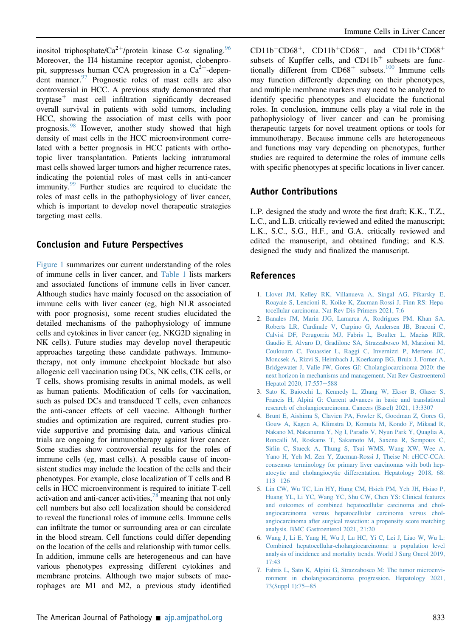inositol triphosphate/Ca<sup>2+</sup>/protein kinase C- $\alpha$  signaling.<sup>[96](#page-10-24)</sup> Moreover, the H4 histamine receptor agonist, clobenpropit, suppresses human CCA progression in a  $Ca^{2+}$ -dependent manner. $97$  Prognostic roles of mast cells are also controversial in HCC. A previous study demonstrated that tryptase<sup> $+$ </sup> mast cell infiltration significantly decreased overall survival in patients with solid tumors, including HCC, showing the association of mast cells with poor prognosis.<sup>[98](#page-10-8)</sup> However, another study showed that high density of mast cells in the HCC microenvironment correlated with a better prognosis in HCC patients with orthotopic liver transplantation. Patients lacking intratumoral mast cells showed larger tumors and higher recurrence rates, indicating the potential roles of mast cells in anti-cancer immunity.<sup>[99](#page-10-9)</sup> Further studies are required to elucidate the roles of mast cells in the pathophysiology of liver cancer, which is important to develop novel therapeutic strategies targeting mast cells.

# Conclusion and Future Perspectives

[Figure 1](#page-4-0) summarizes our current understanding of the roles of immune cells in liver cancer, and [Table 1](#page-5-0) lists markers and associated functions of immune cells in liver cancer. Although studies have mainly focused on the association of immune cells with liver cancer (eg, high NLR associated with poor prognosis), some recent studies elucidated the detailed mechanisms of the pathophysiology of immune cells and cytokines in liver cancer (eg, NKG2D signaling in NK cells). Future studies may develop novel therapeutic approaches targeting these candidate pathways. Immunotherapy, not only immune checkpoint blockade but also allogenic cell vaccination using DCs, NK cells, CIK cells, or T cells, shows promising results in animal models, as well as human patients. Modification of cells for vaccination, such as pulsed DCs and transduced T cells, even enhances the anti-cancer effects of cell vaccine. Although further studies and optimization are required, current studies provide supportive and promising data, and various clinical trials are ongoing for immunotherapy against liver cancer. Some studies show controversial results for the roles of immune cells (eg, mast cells). A possible cause of inconsistent studies may include the location of the cells and their phenotypes. For example, close localization of T cells and B cells in HCC microenvironment is required to initiate T-cell activation and anti-cancer activities, $78$  meaning that not only cell numbers but also cell localization should be considered to reveal the functional roles of immune cells. Immune cells can infiltrate the tumor or surrounding area or can circulate in the blood stream. Cell functions could differ depending on the location of the cells and relationship with tumor cells. In addition, immune cells are heterogeneous and can have various phenotypes expressing different cytokines and membrane proteins. Although two major subsets of macrophages are M1 and M2, a previous study identified  $CD11b$ <sup>-</sup> $CD68$ <sup>+</sup>,  $CD11b$ <sup>+</sup> $CD68$ <sup>-</sup>, and  $CD11b$ <sup>+</sup> $CD68$ <sup>+</sup> subsets of Kupffer cells, and  $CD11b<sup>+</sup>$  subsets are functionally different from  $CD68<sup>+</sup>$  subsets.<sup>[100](#page-10-26)</sup> Immune cells may function differently depending on their phenotypes, and multiple membrane markers may need to be analyzed to identify specific phenotypes and elucidate the functional roles. In conclusion, immune cells play a vital role in the pathophysiology of liver cancer and can be promising therapeutic targets for novel treatment options or tools for immunotherapy. Because immune cells are heterogeneous and functions may vary depending on phenotypes, further studies are required to determine the roles of immune cells with specific phenotypes at specific locations in liver cancer.

## Author Contributions

L.P. designed the study and wrote the first draft; K.K., T.Z., L.C., and L.B. critically reviewed and edited the manuscript; L.K., S.C., S.G., H.F., and G.A. critically reviewed and edited the manuscript, and obtained funding; and K.S. designed the study and finalized the manuscript.

#### <span id="page-7-0"></span>References

- 1. [Llovet JM, Kelley RK, Villanueva A, Singal AG, Pikarsky E,](http://refhub.elsevier.com/S0002-9440(22)00078-5/sref1) [Roayaie S, Lencioni R, Koike K, Zucman-Rossi J, Finn RS: Hepa](http://refhub.elsevier.com/S0002-9440(22)00078-5/sref1)[tocellular carcinoma. Nat Rev Dis Primers 2021, 7:6](http://refhub.elsevier.com/S0002-9440(22)00078-5/sref1)
- <span id="page-7-1"></span>2. [Banales JM, Marin JJG, Lamarca A, Rodrigues PM, Khan SA,](http://refhub.elsevier.com/S0002-9440(22)00078-5/sref2) [Roberts LR, Cardinale V, Carpino G, Andersen JB, Braconi C,](http://refhub.elsevier.com/S0002-9440(22)00078-5/sref2) [Calvisi DF, Perugorria MJ, Fabris L, Boulter L, Macias RIR,](http://refhub.elsevier.com/S0002-9440(22)00078-5/sref2) [Gaudio E, Alvaro D, Gradilone SA, Strazzabosco M, Marzioni M,](http://refhub.elsevier.com/S0002-9440(22)00078-5/sref2) [Coulouarn C, Fouassier L, Raggi C, Invernizzi P, Mertens JC,](http://refhub.elsevier.com/S0002-9440(22)00078-5/sref2) [Moncsek A, Rizvi S, Heimbach J, Koerkamp BG, Bruix J, Forner A,](http://refhub.elsevier.com/S0002-9440(22)00078-5/sref2) [Bridgewater J, Valle JW, Gores GJ: Cholangiocarcinoma 2020: the](http://refhub.elsevier.com/S0002-9440(22)00078-5/sref2) [next horizon in mechanisms and management. Nat Rev Gastroenterol](http://refhub.elsevier.com/S0002-9440(22)00078-5/sref2) [Hepatol 2020, 17:557](http://refhub.elsevier.com/S0002-9440(22)00078-5/sref2)-[588](http://refhub.elsevier.com/S0002-9440(22)00078-5/sref2)
- <span id="page-7-2"></span>3. [Sato K, Baiocchi L, Kennedy L, Zhang W, Ekser B, Glaser S,](http://refhub.elsevier.com/S0002-9440(22)00078-5/sref3) [Francis H, Alpini G: Current advances in basic and translational](http://refhub.elsevier.com/S0002-9440(22)00078-5/sref3) [research of cholangiocarcinoma. Cancers \(Basel\) 2021, 13:3307](http://refhub.elsevier.com/S0002-9440(22)00078-5/sref3)
- <span id="page-7-3"></span>4. [Brunt E, Aishima S, Clavien PA, Fowler K, Goodman Z, Gores G,](http://refhub.elsevier.com/S0002-9440(22)00078-5/sref4) [Gouw A, Kagen A, Klimstra D, Komuta M, Kondo F, Miksad R,](http://refhub.elsevier.com/S0002-9440(22)00078-5/sref4) [Nakano M, Nakanuma Y, Ng I, Paradis V, Nyun Park Y, Quaglia A,](http://refhub.elsevier.com/S0002-9440(22)00078-5/sref4) [Roncalli M, Roskams T, Sakamoto M, Saxena R, Sempoux C,](http://refhub.elsevier.com/S0002-9440(22)00078-5/sref4) [Sirlin C, Stueck A, Thung S, Tsui WMS, Wang XW, Wee A,](http://refhub.elsevier.com/S0002-9440(22)00078-5/sref4) [Yano H, Yeh M, Zen Y, Zucman-Rossi J, Theise N: cHCC-CCA:](http://refhub.elsevier.com/S0002-9440(22)00078-5/sref4) [consensus terminology for primary liver carcinomas with both hep](http://refhub.elsevier.com/S0002-9440(22)00078-5/sref4)[atocytic and cholangiocytic differentation. Hepatology 2018, 68:](http://refhub.elsevier.com/S0002-9440(22)00078-5/sref4)  $113 - 126$  $113 - 126$  $113 - 126$
- <span id="page-7-4"></span>5. [Lin CW, Wu TC, Lin HY, Hung CM, Hsieh PM, Yeh JH, Hsiao P,](http://refhub.elsevier.com/S0002-9440(22)00078-5/sref5) [Huang YL, Li YC, Wang YC, Shu CW, Chen YS: Clinical features](http://refhub.elsevier.com/S0002-9440(22)00078-5/sref5) [and outcomes of combined hepatocellular carcinoma and chol](http://refhub.elsevier.com/S0002-9440(22)00078-5/sref5)[angiocarcinoma versus hepatocellular carcinoma versus chol](http://refhub.elsevier.com/S0002-9440(22)00078-5/sref5)[angiocarcinoma after surgical resection: a propensity score matching](http://refhub.elsevier.com/S0002-9440(22)00078-5/sref5) [analysis. BMC Gastroenterol 2021, 21:20](http://refhub.elsevier.com/S0002-9440(22)00078-5/sref5)
- <span id="page-7-5"></span>6. [Wang J, Li E, Yang H, Wu J, Lu HC, Yi C, Lei J, Liao W, Wu L:](http://refhub.elsevier.com/S0002-9440(22)00078-5/sref6) [Combined hepatocellular-cholangiocarcinoma: a population level](http://refhub.elsevier.com/S0002-9440(22)00078-5/sref6) [analysis of incidence and mortality trends. World J Surg Oncol 2019,](http://refhub.elsevier.com/S0002-9440(22)00078-5/sref6) [17:43](http://refhub.elsevier.com/S0002-9440(22)00078-5/sref6)
- <span id="page-7-6"></span>7. [Fabris L, Sato K, Alpini G, Strazzabosco M: The tumor microenvi](http://refhub.elsevier.com/S0002-9440(22)00078-5/sref7)[ronment in cholangiocarcinoma progression. Hepatology 2021,](http://refhub.elsevier.com/S0002-9440(22)00078-5/sref7) [73\(Suppl 1\):75](http://refhub.elsevier.com/S0002-9440(22)00078-5/sref7)-[85](http://refhub.elsevier.com/S0002-9440(22)00078-5/sref7)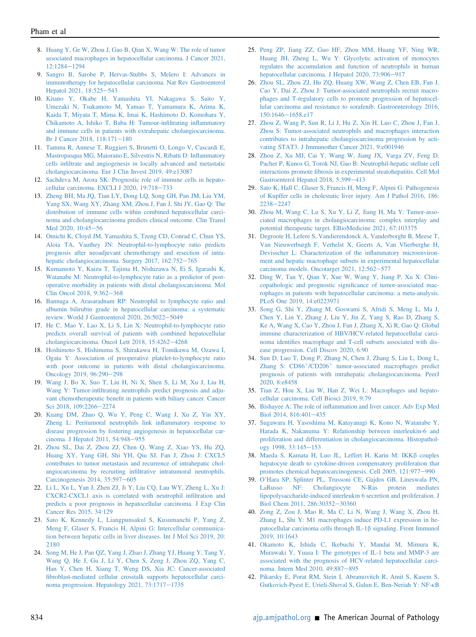- <span id="page-8-0"></span>8. [Huang Y, Ge W, Zhou J, Gao B, Qian X, Wang W: The role of tumor](http://refhub.elsevier.com/S0002-9440(22)00078-5/sref8) [associated macrophages in hepatocellular carcinoma. J Cancer 2021,](http://refhub.elsevier.com/S0002-9440(22)00078-5/sref8) [12:1284](http://refhub.elsevier.com/S0002-9440(22)00078-5/sref8)-[1294](http://refhub.elsevier.com/S0002-9440(22)00078-5/sref8)
- <span id="page-8-1"></span>9. [Sangro B, Sarobe P, Hervas-Stubbs S, Melero I: Advances in](http://refhub.elsevier.com/S0002-9440(22)00078-5/sref9) [immunotherapy for hepatocellular carcinoma. Nat Rev Gastroenterol](http://refhub.elsevier.com/S0002-9440(22)00078-5/sref9) [Hepatol 2021, 18:525](http://refhub.elsevier.com/S0002-9440(22)00078-5/sref9)-[543](http://refhub.elsevier.com/S0002-9440(22)00078-5/sref9)
- <span id="page-8-2"></span>10. [Kitano Y, Okabe H, Yamashita YI, Nakagawa S, Saito Y,](http://refhub.elsevier.com/S0002-9440(22)00078-5/sref10) [Umezaki N, Tsukamoto M, Yamao T, Yamamura K, Arima K,](http://refhub.elsevier.com/S0002-9440(22)00078-5/sref10) [Kaida T, Miyata T, Mima K, Imai K, Hashimoto D, Komohara Y,](http://refhub.elsevier.com/S0002-9440(22)00078-5/sref10) [Chikamoto A, Ishiko T, Baba H: Tumour-in](http://refhub.elsevier.com/S0002-9440(22)00078-5/sref10)filtrating inflammatory [and immune cells in patients with extrahepatic cholangiocarcinoma.](http://refhub.elsevier.com/S0002-9440(22)00078-5/sref10) [Br J Cancer 2018, 118:171](http://refhub.elsevier.com/S0002-9440(22)00078-5/sref10)-[180](http://refhub.elsevier.com/S0002-9440(22)00078-5/sref10)
- <span id="page-8-3"></span>11. [Tamma R, Annese T, Ruggieri S, Brunetti O, Longo V, Cascardi E,](http://refhub.elsevier.com/S0002-9440(22)00078-5/sref11) [Mastropasqua MG, Maiorano E, Silvestris N, Ribatti D: In](http://refhub.elsevier.com/S0002-9440(22)00078-5/sref11)flammatory cells infi[ltrate and angiogenesis in locally advanced and metastatic](http://refhub.elsevier.com/S0002-9440(22)00078-5/sref11) [cholangiocarcinoma. Eur J Clin Invest 2019, 49:e13087](http://refhub.elsevier.com/S0002-9440(22)00078-5/sref11)
- <span id="page-8-4"></span>12. [Sachdeva M, Arora SK: Prognostic role of immune cells in hepato](http://refhub.elsevier.com/S0002-9440(22)00078-5/sref12)[cellular carcinoma. EXCLI J 2020, 19:718](http://refhub.elsevier.com/S0002-9440(22)00078-5/sref12)-[733](http://refhub.elsevier.com/S0002-9440(22)00078-5/sref12)
- <span id="page-8-5"></span>13. [Zheng BH, Ma JQ, Tian LY, Dong LQ, Song GH, Pan JM, Liu YM,](http://refhub.elsevier.com/S0002-9440(22)00078-5/sref13) [Yang SX, Wang XY, Zhang XM, Zhou J, Fan J, Shi JY, Gao Q: The](http://refhub.elsevier.com/S0002-9440(22)00078-5/sref13) [distribution of immune cells within combined hepatocellular carci](http://refhub.elsevier.com/S0002-9440(22)00078-5/sref13)[noma and cholangiocarcinoma predicts clinical outcome. Clin Transl](http://refhub.elsevier.com/S0002-9440(22)00078-5/sref13) [Med 2020, 10:45](http://refhub.elsevier.com/S0002-9440(22)00078-5/sref13)-[56](http://refhub.elsevier.com/S0002-9440(22)00078-5/sref13)
- <span id="page-8-6"></span>14. [Omichi K, Cloyd JM, Yamashita S, Tzeng CD, Conrad C, Chun YS,](http://refhub.elsevier.com/S0002-9440(22)00078-5/sref14) [Aloia TA, Vauthey JN: Neutrophil-to-lymphocyte ratio predicts](http://refhub.elsevier.com/S0002-9440(22)00078-5/sref14) [prognosis after neoadjuvant chemotherapy and resection of intra](http://refhub.elsevier.com/S0002-9440(22)00078-5/sref14)[hepatic cholangiocarcinoma. Surgery 2017, 162:752](http://refhub.elsevier.com/S0002-9440(22)00078-5/sref14)-[765](http://refhub.elsevier.com/S0002-9440(22)00078-5/sref14)
- <span id="page-8-7"></span>15. [Kumamoto Y, Kaizu T, Tajima H, Nishizawa N, Ei S, Igarashi K,](http://refhub.elsevier.com/S0002-9440(22)00078-5/sref15) [Watanabe M: Neutrophil-to-lymphocyte ratio as a predictor of post](http://refhub.elsevier.com/S0002-9440(22)00078-5/sref15)[operative morbidity in patients with distal cholangiocarcinoma. Mol](http://refhub.elsevier.com/S0002-9440(22)00078-5/sref15) [Clin Oncol 2018, 9:362](http://refhub.elsevier.com/S0002-9440(22)00078-5/sref15)-[368](http://refhub.elsevier.com/S0002-9440(22)00078-5/sref15)
- <span id="page-8-8"></span>16. [Bannaga A, Arasaradnam RP: Neutrophil to lymphocyte ratio and](http://refhub.elsevier.com/S0002-9440(22)00078-5/sref16) [albumin bilirubin grade in hepatocellular carcinoma: a systematic](http://refhub.elsevier.com/S0002-9440(22)00078-5/sref16) [review. World J Gastroenterol 2020, 26:5022](http://refhub.elsevier.com/S0002-9440(22)00078-5/sref16)-[5049](http://refhub.elsevier.com/S0002-9440(22)00078-5/sref16)
- <span id="page-8-9"></span>17. [He C, Mao Y, Lao X, Li S, Lin X: Neutrophil-to-lymphocyte ratio](http://refhub.elsevier.com/S0002-9440(22)00078-5/sref17) [predicts overall survival of patients with combined hepatocellular](http://refhub.elsevier.com/S0002-9440(22)00078-5/sref17) [cholangiocarcinoma. Oncol Lett 2018, 15:4262](http://refhub.elsevier.com/S0002-9440(22)00078-5/sref17)-[4268](http://refhub.elsevier.com/S0002-9440(22)00078-5/sref17)
- <span id="page-8-10"></span>18. [Hoshimoto S, Hishinuma S, Shirakawa H, Tomikawa M, Ozawa I,](http://refhub.elsevier.com/S0002-9440(22)00078-5/sref18) [Ogata Y: Association of preoperative platelet-to-lymphocyte ratio](http://refhub.elsevier.com/S0002-9440(22)00078-5/sref18) [with poor outcome in patients with distal cholangiocarcinoma.](http://refhub.elsevier.com/S0002-9440(22)00078-5/sref18) [Oncology 2019, 96:290](http://refhub.elsevier.com/S0002-9440(22)00078-5/sref18)-[298](http://refhub.elsevier.com/S0002-9440(22)00078-5/sref18)
- <span id="page-8-11"></span>19. [Wang J, Bo X, Suo T, Liu H, Ni X, Shen S, Li M, Xu J, Liu H,](http://refhub.elsevier.com/S0002-9440(22)00078-5/sref19) Wang Y: Tumor-infi[ltrating neutrophils predict prognosis and adju](http://refhub.elsevier.com/S0002-9440(22)00078-5/sref19)vant chemotherapeutic benefi[t in patients with biliary cancer. Cancer](http://refhub.elsevier.com/S0002-9440(22)00078-5/sref19) [Sci 2018, 109:2266](http://refhub.elsevier.com/S0002-9440(22)00078-5/sref19)-[2274](http://refhub.elsevier.com/S0002-9440(22)00078-5/sref19)
- <span id="page-8-12"></span>20. [Kuang DM, Zhao Q, Wu Y, Peng C, Wang J, Xu Z, Yin XY,](http://refhub.elsevier.com/S0002-9440(22)00078-5/sref20) [Zheng L: Peritumoral neutrophils link in](http://refhub.elsevier.com/S0002-9440(22)00078-5/sref20)flammatory response to [disease progression by fostering angiogenesis in hepatocellular car](http://refhub.elsevier.com/S0002-9440(22)00078-5/sref20)[cinoma. J Hepatol 2011, 54:948](http://refhub.elsevier.com/S0002-9440(22)00078-5/sref20)-[955](http://refhub.elsevier.com/S0002-9440(22)00078-5/sref20)
- <span id="page-8-13"></span>21. [Zhou SL, Dai Z, Zhou ZJ, Chen Q, Wang Z, Xiao YS, Hu ZQ,](http://refhub.elsevier.com/S0002-9440(22)00078-5/sref21) [Huang XY, Yang GH, Shi YH, Qiu SJ, Fan J, Zhou J: CXCL5](http://refhub.elsevier.com/S0002-9440(22)00078-5/sref21) [contributes to tumor metastasis and recurrence of intrahepatic chol](http://refhub.elsevier.com/S0002-9440(22)00078-5/sref21)[angiocarcinoma by recruiting in](http://refhub.elsevier.com/S0002-9440(22)00078-5/sref21)filtrative intratumoral neutrophils. [Carcinogenesis 2014, 35:597](http://refhub.elsevier.com/S0002-9440(22)00078-5/sref21)-[605](http://refhub.elsevier.com/S0002-9440(22)00078-5/sref21)
- <span id="page-8-14"></span>22. [Li L, Xu L, Yan J, Zhen ZJ, Ji Y, Liu CQ, Lau WY, Zheng L, Xu J:](http://refhub.elsevier.com/S0002-9440(22)00078-5/sref22) [CXCR2-CXCL1 axis is correlated with neutrophil in](http://refhub.elsevier.com/S0002-9440(22)00078-5/sref22)filtration and [predicts a poor prognosis in hepatocellular carcinoma. J Exp Clin](http://refhub.elsevier.com/S0002-9440(22)00078-5/sref22) [Cancer Res 2015, 34:129](http://refhub.elsevier.com/S0002-9440(22)00078-5/sref22)
- <span id="page-8-15"></span>23. [Sato K, Kennedy L, Liangpunsakul S, Kusumanchi P, Yang Z,](http://refhub.elsevier.com/S0002-9440(22)00078-5/sref23) [Meng F, Glaser S, Francis H, Alpini G: Intercellular communica](http://refhub.elsevier.com/S0002-9440(22)00078-5/sref23)[tion between hepatic cells in liver](http://refhub.elsevier.com/S0002-9440(22)00078-5/sref23) diseases. Int J Mol Sci 2019, 20: [2180](http://refhub.elsevier.com/S0002-9440(22)00078-5/sref23)
- <span id="page-8-16"></span>24. [Song M, He J, Pan QZ, Yang J, Zhao J, Zhang YJ, Huang Y, Tang Y,](http://refhub.elsevier.com/S0002-9440(22)00078-5/sref24) [Wang Q, He J, Gu J, Li Y, Chen S, Zeng J, Zhou ZQ, Yang C,](http://refhub.elsevier.com/S0002-9440(22)00078-5/sref24) [Han Y, Chen H, Xiang T, Weng DS, Xia JC: Cancer-associated](http://refhub.elsevier.com/S0002-9440(22)00078-5/sref24) fi[broblast-mediated cellular crosstalk supports hepatocellular carci](http://refhub.elsevier.com/S0002-9440(22)00078-5/sref24)[noma progression. Hepatology 2021, 73:1717](http://refhub.elsevier.com/S0002-9440(22)00078-5/sref24)-[1735](http://refhub.elsevier.com/S0002-9440(22)00078-5/sref24)
- <span id="page-8-17"></span>25. [Peng ZP, Jiang ZZ, Guo HF, Zhou MM, Huang YF, Ning WR,](http://refhub.elsevier.com/S0002-9440(22)00078-5/sref25) [Huang JH, Zheng L, Wu Y: Glycolytic activation of monocytes](http://refhub.elsevier.com/S0002-9440(22)00078-5/sref25) [regulates the accumulation and function of neutrophils in human](http://refhub.elsevier.com/S0002-9440(22)00078-5/sref25) [hepatocellular carcinoma. J Hepatol 2020, 73:906](http://refhub.elsevier.com/S0002-9440(22)00078-5/sref25)-[917](http://refhub.elsevier.com/S0002-9440(22)00078-5/sref25)
- <span id="page-8-18"></span>26. [Zhou SL, Zhou ZJ, Hu ZQ, Huang XW, Wang Z, Chen EB, Fan J,](http://refhub.elsevier.com/S0002-9440(22)00078-5/sref26) [Cao Y, Dai Z, Zhou J: Tumor-associated neutrophils recruit macro](http://refhub.elsevier.com/S0002-9440(22)00078-5/sref26)[phages and T-regulatory cells to promote progression of hepatocel](http://refhub.elsevier.com/S0002-9440(22)00078-5/sref26)[lular carcinoma and resistance to sorafenib. Gastroenterology 2016,](http://refhub.elsevier.com/S0002-9440(22)00078-5/sref26) [150:1646](http://refhub.elsevier.com/S0002-9440(22)00078-5/sref26)-[1658.e17](http://refhub.elsevier.com/S0002-9440(22)00078-5/sref26)
- <span id="page-8-19"></span>27. [Zhou Z, Wang P, Sun R, Li J, Hu Z, Xin H, Luo C, Zhou J, Fan J,](http://refhub.elsevier.com/S0002-9440(22)00078-5/sref27) [Zhou S: Tumor-associated neutrophils and macrophages interaction](http://refhub.elsevier.com/S0002-9440(22)00078-5/sref27) [contributes to intrahepatic cholangiocarcinoma progression by acti](http://refhub.elsevier.com/S0002-9440(22)00078-5/sref27)[vating STAT3. J Immunother Cancer 2021, 9:e001946](http://refhub.elsevier.com/S0002-9440(22)00078-5/sref27)
- <span id="page-8-20"></span>28. [Zhou Z, Xu MJ, Cai Y, Wang W, Jiang JX, Varga ZV, Feng D,](http://refhub.elsevier.com/S0002-9440(22)00078-5/sref28) [Pacher P, Kunos G, Torok NJ, Gao B: Neutrophil-hepatic stellate cell](http://refhub.elsevier.com/S0002-9440(22)00078-5/sref28) interactions promote fi[brosis in experimental steatohepatitis. Cell Mol](http://refhub.elsevier.com/S0002-9440(22)00078-5/sref28) [Gastroenterol Hepatol 2018, 5:399](http://refhub.elsevier.com/S0002-9440(22)00078-5/sref28)-[413](http://refhub.elsevier.com/S0002-9440(22)00078-5/sref28)
- <span id="page-8-21"></span>29. [Sato K, Hall C, Glaser S, Francis H, Meng F, Alpini G: Pathogenesis](http://refhub.elsevier.com/S0002-9440(22)00078-5/sref29) [of Kupffer cells in cholestatic liver injury. Am J Pathol 2016, 186:](http://refhub.elsevier.com/S0002-9440(22)00078-5/sref29) [2238](http://refhub.elsevier.com/S0002-9440(22)00078-5/sref29)-[2247](http://refhub.elsevier.com/S0002-9440(22)00078-5/sref29)
- <span id="page-8-22"></span>30. [Zhou M, Wang C, Lu S, Xu Y, Li Z, Jiang H, Ma Y: Tumor-asso](http://refhub.elsevier.com/S0002-9440(22)00078-5/sref30)[ciated macrophages in cholangiocarcinoma: complex interplay and](http://refhub.elsevier.com/S0002-9440(22)00078-5/sref30) [potential therapeutic target. EBioMedicine 2021, 67:103375](http://refhub.elsevier.com/S0002-9440(22)00078-5/sref30)
- <span id="page-8-23"></span>31. [Degroote H, Lefere S, Vandierendonck A, Vanderborght B, Meese T,](http://refhub.elsevier.com/S0002-9440(22)00078-5/sref31) [Van Nieuwerburgh F, Verhelst X, Geerts A, Van Vlierberghe H,](http://refhub.elsevier.com/S0002-9440(22)00078-5/sref31) [Devisscher L: Characterization of the in](http://refhub.elsevier.com/S0002-9440(22)00078-5/sref31)flammatory microenviron[ment and hepatic macrophage subsets in experimental hepatocellular](http://refhub.elsevier.com/S0002-9440(22)00078-5/sref31) [carcinoma models. Oncotarget 2021, 12:562](http://refhub.elsevier.com/S0002-9440(22)00078-5/sref31)-[577](http://refhub.elsevier.com/S0002-9440(22)00078-5/sref31)
- <span id="page-8-24"></span>32. [Ding W, Tan Y, Qian Y, Xue W, Wang Y, Jiang P, Xu X: Clini](http://refhub.elsevier.com/S0002-9440(22)00078-5/sref32)[copathologic and prognostic signi](http://refhub.elsevier.com/S0002-9440(22)00078-5/sref32)ficance of tumor-associated mac[rophages in patients with hepatocellular carcinoma: a meta-analysis.](http://refhub.elsevier.com/S0002-9440(22)00078-5/sref32) [PLoS One 2019, 14:e0223971](http://refhub.elsevier.com/S0002-9440(22)00078-5/sref32)
- <span id="page-8-25"></span>33. [Song G, Shi Y, Zhang M, Goswami S, Afridi S, Meng L, Ma J,](http://refhub.elsevier.com/S0002-9440(22)00078-5/sref33) [Chen Y, Lin Y, Zhang J, Liu Y, Jin Z, Yang S, Rao D, Zhang S,](http://refhub.elsevier.com/S0002-9440(22)00078-5/sref33) [Ke A, Wang X, Cao Y, Zhou J, Fan J, Zhang X, Xi R, Gao Q: Global](http://refhub.elsevier.com/S0002-9440(22)00078-5/sref33) [immune characterization of HBV/HCV-related hepatocellular carci](http://refhub.elsevier.com/S0002-9440(22)00078-5/sref33)noma identifi[es macrophage and T-cell subsets associated with dis](http://refhub.elsevier.com/S0002-9440(22)00078-5/sref33)[ease progression. Cell Discov 2020, 6:90](http://refhub.elsevier.com/S0002-9440(22)00078-5/sref33)
- <span id="page-8-26"></span>34. [Sun D, Luo T, Dong P, Zhang N, Chen J, Zhang S, Liu L, Dong L,](http://refhub.elsevier.com/S0002-9440(22)00078-5/sref34) [Zhang](http://refhub.elsevier.com/S0002-9440(22)00078-5/sref34) [S:](http://refhub.elsevier.com/S0002-9440(22)00078-5/sref34) [CD86](http://refhub.elsevier.com/S0002-9440(22)00078-5/sref34)<sup>+</sup>[/CD206](http://refhub.elsevier.com/S0002-9440(22)00078-5/sref34)<sup>+</sup> [tumor-associated macrophages predict](http://refhub.elsevier.com/S0002-9440(22)00078-5/sref34) [prognosis of patients with intrahepatic cholangiocarcinoma. PeerJ](http://refhub.elsevier.com/S0002-9440(22)00078-5/sref34) [2020, 8:e8458](http://refhub.elsevier.com/S0002-9440(22)00078-5/sref34)
- <span id="page-8-27"></span>35. [Tian Z, Hou X, Liu W, Han Z, Wei L: Macrophages and hepato](http://refhub.elsevier.com/S0002-9440(22)00078-5/sref35)[cellular carcinoma. Cell Biosci 2019, 9:79](http://refhub.elsevier.com/S0002-9440(22)00078-5/sref35)
- <span id="page-8-28"></span>36. Bishayee A: The role of infl[ammation and liver cancer. Adv Exp Med](http://refhub.elsevier.com/S0002-9440(22)00078-5/sref36) [Biol 2014, 816:401](http://refhub.elsevier.com/S0002-9440(22)00078-5/sref36)-[435](http://refhub.elsevier.com/S0002-9440(22)00078-5/sref36)
- <span id="page-8-29"></span>37. [Sugawara H, Yasoshima M, Katayanagi K, Kono N, Watanabe Y,](http://refhub.elsevier.com/S0002-9440(22)00078-5/sref37) [Harada K, Nakanuma Y: Relationship between interleukin-6 and](http://refhub.elsevier.com/S0002-9440(22)00078-5/sref37) [proliferation and differentiation in cholangiocarcinoma. Histopathol](http://refhub.elsevier.com/S0002-9440(22)00078-5/sref37)[ogy 1998, 33:145](http://refhub.elsevier.com/S0002-9440(22)00078-5/sref37)-[153](http://refhub.elsevier.com/S0002-9440(22)00078-5/sref37)
- <span id="page-8-30"></span>38. [Maeda S, Kamata H, Luo JL, Leffert H, Karin M: IKK](http://refhub.elsevier.com/S0002-9440(22)00078-5/sref38)ß couples [hepatocyte death to cytokine-driven compensatory proliferation that](http://refhub.elsevier.com/S0002-9440(22)00078-5/sref38) [promotes chemical hepatocarcinogenesis. Cell 2005, 121:977](http://refhub.elsevier.com/S0002-9440(22)00078-5/sref38)-[990](http://refhub.elsevier.com/S0002-9440(22)00078-5/sref38)
- <span id="page-8-31"></span>39. O'[Hara SP, Splinter PL, Trussoni CE, Gajdos GB, Lineswala PN,](http://refhub.elsevier.com/S0002-9440(22)00078-5/sref39) [LaRusso NF: Cholangiocyte N-Ras protein mediates](http://refhub.elsevier.com/S0002-9440(22)00078-5/sref39) [lipopolysaccharide-induced interleukin 6 secretion and proliferation. J](http://refhub.elsevier.com/S0002-9440(22)00078-5/sref39) [Biol Chem 2011, 286:30352](http://refhub.elsevier.com/S0002-9440(22)00078-5/sref39)-[30360](http://refhub.elsevier.com/S0002-9440(22)00078-5/sref39)
- <span id="page-8-32"></span>40. [Zong Z, Zou J, Mao R, Ma C, Li N, Wang J, Wang X, Zhou H,](http://refhub.elsevier.com/S0002-9440(22)00078-5/sref40) [Zhang L, Shi Y: M1 macrophages induce PD-L1 expression in he](http://refhub.elsevier.com/S0002-9440(22)00078-5/sref40)[patocellular carcinoma cells through IL-1](http://refhub.elsevier.com/S0002-9440(22)00078-5/sref40) $\beta$  signaling. Front Immunol [2019, 10:1643](http://refhub.elsevier.com/S0002-9440(22)00078-5/sref40)
- <span id="page-8-33"></span>41. [Okamoto K, Ishida C, Ikebuchi Y, Mandai M, Mimura K,](http://refhub.elsevier.com/S0002-9440(22)00078-5/sref41) [Murawaki Y, Yuasa I: The genotypes of IL-1 beta and MMP-3 are](http://refhub.elsevier.com/S0002-9440(22)00078-5/sref41) [associated with the prognosis of HCV-related hepatocellular carci](http://refhub.elsevier.com/S0002-9440(22)00078-5/sref41)[noma. Intern Med 2010, 49:887](http://refhub.elsevier.com/S0002-9440(22)00078-5/sref41)-[895](http://refhub.elsevier.com/S0002-9440(22)00078-5/sref41)
- <span id="page-8-34"></span>42. [Pikarsky E, Porat RM, Stein I, Abramovitch R, Amit S, Kasem S,](http://refhub.elsevier.com/S0002-9440(22)00078-5/sref42) [Gutkovich-Pyest E, Urieli-Shoval S, Galun E, Ben-Neriah Y: NF-](http://refhub.elsevier.com/S0002-9440(22)00078-5/sref42)k<sup>B</sup>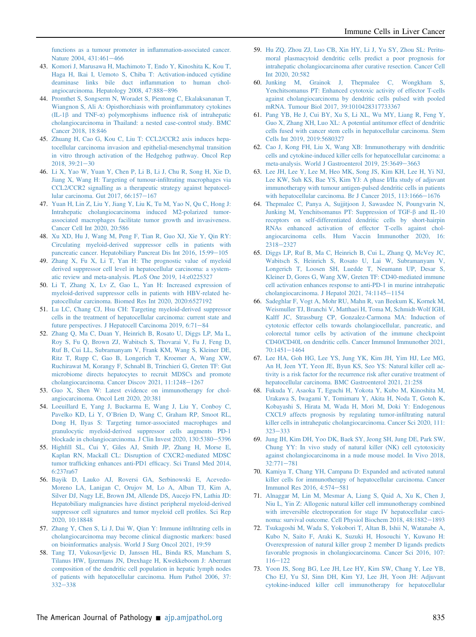[functions as a tumour promoter in in](http://refhub.elsevier.com/S0002-9440(22)00078-5/sref42)flammation-associated cancer. [Nature 2004, 431:461](http://refhub.elsevier.com/S0002-9440(22)00078-5/sref42)-[466](http://refhub.elsevier.com/S0002-9440(22)00078-5/sref42)

- <span id="page-9-0"></span>43. [Komori J, Marusawa H, Machimoto T, Endo Y, Kinoshita K, Kou T,](http://refhub.elsevier.com/S0002-9440(22)00078-5/sref43) [Haga H, Ikai I, Uemoto S, Chiba T: Activation-induced cytidine](http://refhub.elsevier.com/S0002-9440(22)00078-5/sref43) [deaminase links bile duct in](http://refhub.elsevier.com/S0002-9440(22)00078-5/sref43)flammation to human chol[angiocarcinoma. Hepatology 2008, 47:888](http://refhub.elsevier.com/S0002-9440(22)00078-5/sref43)-[896](http://refhub.elsevier.com/S0002-9440(22)00078-5/sref43)
- <span id="page-9-1"></span>44. [Promthet S, Songserm N, Woradet S, Pientong C, Ekalaksananan T,](http://refhub.elsevier.com/S0002-9440(22)00078-5/sref44) [Wiangnon S, Ali A: Opisthorchiasis with proin](http://refhub.elsevier.com/S0002-9440(22)00078-5/sref44)flammatory cytokines  $(IL-1\beta$  and TNF- $\alpha$ ) polymorphisms infl[uence risk of intrahepatic](http://refhub.elsevier.com/S0002-9440(22)00078-5/sref44) [cholangiocarcinoma in Thailand: a nested case-control study. BMC](http://refhub.elsevier.com/S0002-9440(22)00078-5/sref44) [Cancer 2018, 18:846](http://refhub.elsevier.com/S0002-9440(22)00078-5/sref44)
- <span id="page-9-2"></span>45. [Zhuang H, Cao G, Kou C, Liu T: CCL2/CCR2 axis induces hepa](http://refhub.elsevier.com/S0002-9440(22)00078-5/sref45)[tocellular carcinoma invasion and epithelial-mesenchymal transition](http://refhub.elsevier.com/S0002-9440(22)00078-5/sref45) [in vitro through activation of the Hedgehog pathway. Oncol Rep](http://refhub.elsevier.com/S0002-9440(22)00078-5/sref45)  $2018, 39:21-30$  $2018, 39:21-30$  $2018, 39:21-30$
- <span id="page-9-3"></span>46. [Li X, Yao W, Yuan Y, Chen P, Li B, Li J, Chu R, Song H, Xie D,](http://refhub.elsevier.com/S0002-9440(22)00078-5/sref46) [Jiang X, Wang H: Targeting of tumour-in](http://refhub.elsevier.com/S0002-9440(22)00078-5/sref46)filtrating macrophages via [CCL2/CCR2 signalling as a therapeutic strategy against hepatocel](http://refhub.elsevier.com/S0002-9440(22)00078-5/sref46)[lular carcinoma. Gut 2017, 66:157](http://refhub.elsevier.com/S0002-9440(22)00078-5/sref46)-[167](http://refhub.elsevier.com/S0002-9440(22)00078-5/sref46)
- <span id="page-9-4"></span>47. [Yuan H, Lin Z, Liu Y, Jiang Y, Liu K, Tu M, Yao N, Qu C, Hong J:](http://refhub.elsevier.com/S0002-9440(22)00078-5/sref47) [Intrahepatic cholangiocarcinoma induced M2-polarized tumor](http://refhub.elsevier.com/S0002-9440(22)00078-5/sref47)[associated macrophages facilitate tumor growth and invasiveness.](http://refhub.elsevier.com/S0002-9440(22)00078-5/sref47) [Cancer Cell Int 2020, 20:586](http://refhub.elsevier.com/S0002-9440(22)00078-5/sref47)
- <span id="page-9-5"></span>48. [Xu XD, Hu J, Wang M, Peng F, Tian R, Guo XJ, Xie Y, Qin RY:](http://refhub.elsevier.com/S0002-9440(22)00078-5/sref48) [Circulating myeloid-derived suppressor cells in patients with](http://refhub.elsevier.com/S0002-9440(22)00078-5/sref48) [pancreatic cancer. Hepatobiliary Pancreat Dis Int 2016, 15:99](http://refhub.elsevier.com/S0002-9440(22)00078-5/sref48)-[105](http://refhub.elsevier.com/S0002-9440(22)00078-5/sref48)
- <span id="page-9-6"></span>49. [Zhang X, Fu X, Li T, Yan H: The prognostic value of myeloid](http://refhub.elsevier.com/S0002-9440(22)00078-5/sref49) [derived suppressor cell level in hepatocellular carcinoma: a system](http://refhub.elsevier.com/S0002-9440(22)00078-5/sref49)[atic review and meta-analysis. PLoS One 2019, 14:e0225327](http://refhub.elsevier.com/S0002-9440(22)00078-5/sref49)
- <span id="page-9-7"></span>50. [Li T, Zhang X, Lv Z, Gao L, Yan H: Increased expression of](http://refhub.elsevier.com/S0002-9440(22)00078-5/sref50) [myeloid-derived suppressor cells in patients with HBV-related he](http://refhub.elsevier.com/S0002-9440(22)00078-5/sref50)[patocellular carcinoma. Biomed Res Int 2020, 2020:6527192](http://refhub.elsevier.com/S0002-9440(22)00078-5/sref50)
- <span id="page-9-8"></span>51. [Lu LC, Chang CJ, Hsu CH: Targeting myeloid-derived suppressor](http://refhub.elsevier.com/S0002-9440(22)00078-5/sref51) [cells in the treatment of hepatocellular carcinoma: current state and](http://refhub.elsevier.com/S0002-9440(22)00078-5/sref51) [future perspectives. J Hepatocell Carcinoma 2019, 6:71](http://refhub.elsevier.com/S0002-9440(22)00078-5/sref51)-[84](http://refhub.elsevier.com/S0002-9440(22)00078-5/sref51)
- <span id="page-9-9"></span>52. [Zhang Q, Ma C, Duan Y, Heinrich B, Rosato U, Diggs LP, Ma L,](http://refhub.elsevier.com/S0002-9440(22)00078-5/sref52) [Roy S, Fu Q, Brown ZJ, Wabitsch S, Thovarai V, Fu J, Feng D,](http://refhub.elsevier.com/S0002-9440(22)00078-5/sref52) [Ruf B, Cui LL, Subramanyam V, Frank KM, Wang S, Kleiner DE,](http://refhub.elsevier.com/S0002-9440(22)00078-5/sref52) [Ritz T, Rupp C, Gao B, Longerich T, Kroemer A, Wang XW,](http://refhub.elsevier.com/S0002-9440(22)00078-5/sref52) [Ruchirawat M, Korangy F, Schnabl B, Trinchieri G, Greten TF: Gut](http://refhub.elsevier.com/S0002-9440(22)00078-5/sref52) [microbiome directs hepatocytes to recruit MDSCs and promote](http://refhub.elsevier.com/S0002-9440(22)00078-5/sref52) [cholangiocarcinoma. Cancer Discov 2021, 11:1248](http://refhub.elsevier.com/S0002-9440(22)00078-5/sref52)-[1267](http://refhub.elsevier.com/S0002-9440(22)00078-5/sref52)
- <span id="page-9-10"></span>53. [Guo X, Shen W: Latest evidence on immunotherapy for chol](http://refhub.elsevier.com/S0002-9440(22)00078-5/sref53)[angiocarcinoma. Oncol Lett 2020, 20:381](http://refhub.elsevier.com/S0002-9440(22)00078-5/sref53)
- <span id="page-9-11"></span>54. [Loeuillard E, Yang J, Buckarma E, Wang J, Liu Y, Conboy C,](http://refhub.elsevier.com/S0002-9440(22)00078-5/sref54) Pavelko KD, Li Y, O'[Brien D, Wang C, Graham RP, Smoot RL,](http://refhub.elsevier.com/S0002-9440(22)00078-5/sref54) [Dong H, Ilyas S: Targeting tumor-associated macrophages and](http://refhub.elsevier.com/S0002-9440(22)00078-5/sref54) [granulocytic myeloid-derived suppressor cells augments PD-1](http://refhub.elsevier.com/S0002-9440(22)00078-5/sref54) [blockade in cholangiocarcinoma. J Clin Invest 2020, 130:5380](http://refhub.elsevier.com/S0002-9440(22)00078-5/sref54)-[5396](http://refhub.elsevier.com/S0002-9440(22)00078-5/sref54)
- <span id="page-9-12"></span>55. Highfi[ll SL, Cui Y, Giles AJ, Smith JP, Zhang H, Morse E,](http://refhub.elsevier.com/S0002-9440(22)00078-5/sref55) [Kaplan RN, Mackall CL: Disruption of CXCR2-mediated MDSC](http://refhub.elsevier.com/S0002-9440(22)00078-5/sref55) tumor trafficking enhances anti-PD1 effi[cacy. Sci Transl Med 2014,](http://refhub.elsevier.com/S0002-9440(22)00078-5/sref55) [6:237ra67](http://refhub.elsevier.com/S0002-9440(22)00078-5/sref55)
- <span id="page-9-13"></span>56. [Bayik D, Lauko AJ, Roversi GA, Serbinowski E, Acevedo-](http://refhub.elsevier.com/S0002-9440(22)00078-5/sref56)[Moreno LA, Lanigan C, Orujov M, Lo A, Alban TJ, Kim A,](http://refhub.elsevier.com/S0002-9440(22)00078-5/sref56) [Silver DJ, Nagy LE, Brown JM, Allende DS, Aucejo FN, Lathia JD:](http://refhub.elsevier.com/S0002-9440(22)00078-5/sref56) [Hepatobiliary malignancies have distinct peripheral myeloid-derived](http://refhub.elsevier.com/S0002-9440(22)00078-5/sref56) [suppressor cell signatures and tumor myeloid cell pro](http://refhub.elsevier.com/S0002-9440(22)00078-5/sref56)files. Sci Rep [2020, 10:18848](http://refhub.elsevier.com/S0002-9440(22)00078-5/sref56)
- <span id="page-9-14"></span>57. [Zhang Y, Chen S, Li J, Dai W, Qian Y: Immune in](http://refhub.elsevier.com/S0002-9440(22)00078-5/sref57)filtrating cells in [cholangiocarcinoma may become clinical diagnostic markers: based](http://refhub.elsevier.com/S0002-9440(22)00078-5/sref57) [on bioinformatics analysis. World J Surg Oncol 2021, 19:59](http://refhub.elsevier.com/S0002-9440(22)00078-5/sref57)
- <span id="page-9-15"></span>58. [Tang TJ, Vukosavljevic D, Janssen HL, Binda RS, Mancham S,](http://refhub.elsevier.com/S0002-9440(22)00078-5/sref58) [Tilanus HW, Ijzermans JN, Drexhage H, Kwekkeboom J: Aberrant](http://refhub.elsevier.com/S0002-9440(22)00078-5/sref58) [composition of the dendritic cell population in hepatic lymph nodes](http://refhub.elsevier.com/S0002-9440(22)00078-5/sref58) [of patients with hepatocellular carcinoma. Hum Pathol 2006, 37:](http://refhub.elsevier.com/S0002-9440(22)00078-5/sref58)  $332 - 338$  $332 - 338$  $332 - 338$
- <span id="page-9-16"></span>59. [Hu ZQ, Zhou ZJ, Luo CB, Xin HY, Li J, Yu SY, Zhou SL: Peritu](http://refhub.elsevier.com/S0002-9440(22)00078-5/sref59)[moral plasmacytoid dendritic cells predict a poor prognosis for](http://refhub.elsevier.com/S0002-9440(22)00078-5/sref59) [intrahepatic cholangiocarcinoma after curative resection. Cancer Cell](http://refhub.elsevier.com/S0002-9440(22)00078-5/sref59) [Int 2020, 20:582](http://refhub.elsevier.com/S0002-9440(22)00078-5/sref59)
- <span id="page-9-17"></span>60. [Junking M, Grainok J, Thepmalee C, Wongkham S,](http://refhub.elsevier.com/S0002-9440(22)00078-5/sref60) [Yenchitsomanus PT: Enhanced cytotoxic activity of effector T-cells](http://refhub.elsevier.com/S0002-9440(22)00078-5/sref60) [against cholangiocarcinoma by dendritic cells pulsed with pooled](http://refhub.elsevier.com/S0002-9440(22)00078-5/sref60) [mRNA. Tumour Biol 2017, 39:1010428317733367](http://refhub.elsevier.com/S0002-9440(22)00078-5/sref60)
- <span id="page-9-18"></span>61. [Pang YB, He J, Cui BY, Xu S, Li XL, Wu MY, Liang R, Feng Y,](http://refhub.elsevier.com/S0002-9440(22)00078-5/sref61) [Guo X, Zhang XH, Luo XL: A potential antitumor effect of dendritic](http://refhub.elsevier.com/S0002-9440(22)00078-5/sref61) [cells fused with cancer stem cells in hepatocellular carcinoma. Stem](http://refhub.elsevier.com/S0002-9440(22)00078-5/sref61) [Cells Int 2019, 2019:5680327](http://refhub.elsevier.com/S0002-9440(22)00078-5/sref61)
- <span id="page-9-19"></span>62. [Cao J, Kong FH, Liu X, Wang XB: Immunotherapy with dendritic](http://refhub.elsevier.com/S0002-9440(22)00078-5/sref62) [cells and cytokine-induced killer cells for hepatocellular carcinoma: a](http://refhub.elsevier.com/S0002-9440(22)00078-5/sref62) [meta-analysis. World J Gastroenterol 2019, 25:3649](http://refhub.elsevier.com/S0002-9440(22)00078-5/sref62)-[3663](http://refhub.elsevier.com/S0002-9440(22)00078-5/sref62)
- <span id="page-9-20"></span>63. [Lee JH, Lee Y, Lee M, Heo MK, Song JS, Kim KH, Lee H, Yi NJ,](http://refhub.elsevier.com/S0002-9440(22)00078-5/sref63) [Lee KW, Suh KS, Bae YS, Kim YJ: A phase I/IIa study of adjuvant](http://refhub.elsevier.com/S0002-9440(22)00078-5/sref63) [immunotherapy with tumour antigen-pulsed dendritic cells in patients](http://refhub.elsevier.com/S0002-9440(22)00078-5/sref63) with hepatocellular carcinoma. Br J Cancer 2015,  $113:1666 - 1676$  $113:1666 - 1676$
- <span id="page-9-21"></span>64. [Thepmalee C, Panya A, Sujjitjoon J, Sawasdee N, Poungvarin N,](http://refhub.elsevier.com/S0002-9440(22)00078-5/sref64) [Junking M, Yenchitsomanus PT: Suppression of TGF-](http://refhub.elsevier.com/S0002-9440(22)00078-5/sref64) $\beta$  and IL-10 [receptors on self-differentiated dendritic cells by short-hairpin](http://refhub.elsevier.com/S0002-9440(22)00078-5/sref64) [RNAs enhanced activation of effector T-cells against chol](http://refhub.elsevier.com/S0002-9440(22)00078-5/sref64)[angiocarcinoma cells. Hum Vaccin Immunother 2020, 16:](http://refhub.elsevier.com/S0002-9440(22)00078-5/sref64) [2318](http://refhub.elsevier.com/S0002-9440(22)00078-5/sref64)-[2327](http://refhub.elsevier.com/S0002-9440(22)00078-5/sref64)
- <span id="page-9-22"></span>65. [Diggs LP, Ruf B, Ma C, Heinrich B, Cui L, Zhang Q, McVey JC,](http://refhub.elsevier.com/S0002-9440(22)00078-5/sref65) [Wabitsch S, Heinrich S, Rosato U, Lai W, Subramanyam V,](http://refhub.elsevier.com/S0002-9440(22)00078-5/sref65) [Longerich T, Loosen SH, Luedde T, Neumann UP, Desar S,](http://refhub.elsevier.com/S0002-9440(22)00078-5/sref65) [Kleiner D, Gores G, Wang XW, Greten TF: CD40-mediated immune](http://refhub.elsevier.com/S0002-9440(22)00078-5/sref65) [cell activation enhances response to anti-PD-1 in murine intrahepatic](http://refhub.elsevier.com/S0002-9440(22)00078-5/sref65) cholangiocarcinoma. J Hepatol 2021,  $74:1145-1154$  $74:1145-1154$
- <span id="page-9-23"></span>66. [Sadeghlar F, Vogt A, Mohr RU, Mahn R, van Beekum K, Kornek M,](http://refhub.elsevier.com/S0002-9440(22)00078-5/sref66) [Weismuller TJ, Branchi V, Matthaei H, Toma M, Schmidt-Wolf IGH,](http://refhub.elsevier.com/S0002-9440(22)00078-5/sref66) [Kalff JC, Strassburg CP, Gonzalez-Carmona MA: Induction of](http://refhub.elsevier.com/S0002-9440(22)00078-5/sref66) [cytotoxic effector cells towards cholangiocellular, pancreatic, and](http://refhub.elsevier.com/S0002-9440(22)00078-5/sref66) [colorectal tumor cells by activation of the immune checkpoint](http://refhub.elsevier.com/S0002-9440(22)00078-5/sref66) [CD40/CD40L on dendritic cells. Cancer Immunol Immunother 2021,](http://refhub.elsevier.com/S0002-9440(22)00078-5/sref66)  $70:1451 - 1464$  $70:1451 - 1464$  $70:1451 - 1464$
- <span id="page-9-24"></span>67. [Lee HA, Goh HG, Lee YS, Jung YK, Kim JH, Yim HJ, Lee MG,](http://refhub.elsevier.com/S0002-9440(22)00078-5/sref67) [An H, Jeen YT, Yeon JE, Byun KS, Seo YS: Natural killer cell ac](http://refhub.elsevier.com/S0002-9440(22)00078-5/sref67)[tivity is a risk factor for the recurrence risk after curative treatment of](http://refhub.elsevier.com/S0002-9440(22)00078-5/sref67) [hepatocellular carcinoma. BMC Gastroenterol 2021, 21:258](http://refhub.elsevier.com/S0002-9440(22)00078-5/sref67)
- <span id="page-9-25"></span>68. [Fukuda Y, Asaoka T, Eguchi H, Yokota Y, Kubo M, Kinoshita M,](http://refhub.elsevier.com/S0002-9440(22)00078-5/sref68) [Urakawa S, Iwagami Y, Tomimaru Y, Akita H, Noda T, Gotoh K,](http://refhub.elsevier.com/S0002-9440(22)00078-5/sref68) [Kobayashi S, Hirata M, Wada H, Mori M, Doki Y: Endogenous](http://refhub.elsevier.com/S0002-9440(22)00078-5/sref68) [CXCL9 affects prognosis by regulating tumor-in](http://refhub.elsevier.com/S0002-9440(22)00078-5/sref68)filtrating natural [killer cells in intrahepatic cholangiocarcinoma. Cancer Sci 2020, 111:](http://refhub.elsevier.com/S0002-9440(22)00078-5/sref68) [323](http://refhub.elsevier.com/S0002-9440(22)00078-5/sref68)-[333](http://refhub.elsevier.com/S0002-9440(22)00078-5/sref68)
- <span id="page-9-26"></span>69. [Jung IH, Kim DH, Yoo DK, Baek SY, Jeong SH, Jung DE, Park SW,](http://refhub.elsevier.com/S0002-9440(22)00078-5/sref69) [Chung YY: In vivo study of natural killer \(NK\) cell cytotoxicity](http://refhub.elsevier.com/S0002-9440(22)00078-5/sref69) [against cholangiocarcinoma in a nude mouse model. In Vivo 2018,](http://refhub.elsevier.com/S0002-9440(22)00078-5/sref69)  $32:771 - 781$  $32:771 - 781$  $32:771 - 781$
- <span id="page-9-27"></span>70. [Kamiya T, Chang YH, Campana D: Expanded and activated natural](http://refhub.elsevier.com/S0002-9440(22)00078-5/sref70) [killer cells for immunotherapy of hepatocellular carcinoma. Cancer](http://refhub.elsevier.com/S0002-9440(22)00078-5/sref70) [Immunol Res 2016, 4:574](http://refhub.elsevier.com/S0002-9440(22)00078-5/sref70)-[581](http://refhub.elsevier.com/S0002-9440(22)00078-5/sref70)
- <span id="page-9-28"></span>71. [Alnaggar M, Lin M, Mesmar A, Liang S, Qaid A, Xu K, Chen J,](http://refhub.elsevier.com/S0002-9440(22)00078-5/sref71) [Niu L, Yin Z: Allogenic natural killer cell immunotherapy combined](http://refhub.elsevier.com/S0002-9440(22)00078-5/sref71) [with irreversible electroporation for stage IV hepatocellular carci](http://refhub.elsevier.com/S0002-9440(22)00078-5/sref71)[noma: survival outcome. Cell Physiol Biochem 2018, 48:1882](http://refhub.elsevier.com/S0002-9440(22)00078-5/sref71)-[1893](http://refhub.elsevier.com/S0002-9440(22)00078-5/sref71)
- <span id="page-9-29"></span>72. [Tsukagoshi M, Wada S, Yokobori T, Altan B, Ishii N, Watanabe A,](http://refhub.elsevier.com/S0002-9440(22)00078-5/sref72) [Kubo N, Saito F, Araki K, Suzuki H, Hosouchi Y, Kuwano H:](http://refhub.elsevier.com/S0002-9440(22)00078-5/sref72) [Overexpression of natural killer group 2 member D ligands predicts](http://refhub.elsevier.com/S0002-9440(22)00078-5/sref72) [favorable prognosis in cholangiocarcinoma. Cancer Sci 2016, 107:](http://refhub.elsevier.com/S0002-9440(22)00078-5/sref72)  $116 - 122$  $116 - 122$  $116 - 122$
- <span id="page-9-30"></span>73. [Yoon JS, Song BG, Lee JH, Lee HY, Kim SW, Chang Y, Lee YB,](http://refhub.elsevier.com/S0002-9440(22)00078-5/sref73) [Cho EJ, Yu SJ, Sinn DH, Kim YJ, Lee JH, Yoon JH: Adjuvant](http://refhub.elsevier.com/S0002-9440(22)00078-5/sref73) [cytokine-induced killer cell immunotherapy for hepatocellular](http://refhub.elsevier.com/S0002-9440(22)00078-5/sref73)